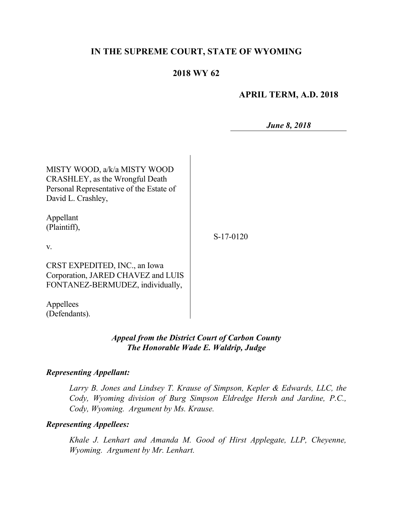# **IN THE SUPREME COURT, STATE OF WYOMING**

# **2018 WY 62**

## **APRIL TERM, A.D. 2018**

*June 8, 2018*

| MISTY WOOD, a/k/a MISTY WOOD<br>CRASHLEY, as the Wrongful Death<br>Personal Representative of the Estate of<br>David L. Crashley, |           |
|-----------------------------------------------------------------------------------------------------------------------------------|-----------|
| Appellant<br>(Plaintiff),<br>$V_{\cdot}$                                                                                          | S-17-0120 |
| CRST EXPEDITED, INC., an Iowa<br>Corporation, JARED CHAVEZ and LUIS<br>FONTANEZ-BERMUDEZ, individually,                           |           |
| Appellees<br>(Defendants).                                                                                                        |           |

### *Appeal from the District Court of Carbon County The Honorable Wade E. Waldrip, Judge*

#### *Representing Appellant:*

*Larry B. Jones and Lindsey T. Krause of Simpson, Kepler & Edwards, LLC, the Cody, Wyoming division of Burg Simpson Eldredge Hersh and Jardine, P.C., Cody, Wyoming. Argument by Ms. Krause.*

#### *Representing Appellees:*

*Khale J. Lenhart and Amanda M. Good of Hirst Applegate, LLP, Cheyenne, Wyoming. Argument by Mr. Lenhart.*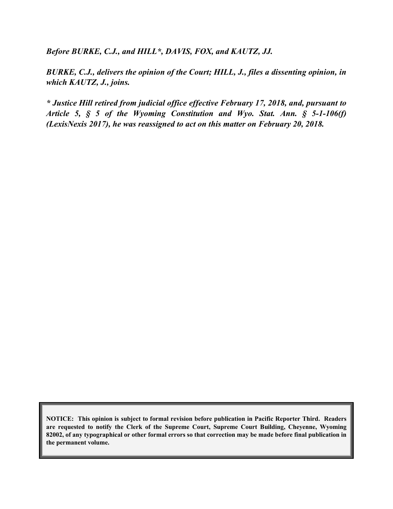*Before BURKE, C.J., and HILL\*, DAVIS, FOX, and KAUTZ, JJ.*

*BURKE, C.J., delivers the opinion of the Court; HILL, J., files a dissenting opinion, in which KAUTZ, J., joins.*

*\* Justice Hill retired from judicial office effective February 17, 2018, and, pursuant to Article 5, § 5 of the Wyoming Constitution and Wyo. Stat. Ann. § 5-1-106(f) (LexisNexis 2017), he was reassigned to act on this matter on February 20, 2018.*

**NOTICE: This opinion is subject to formal revision before publication in Pacific Reporter Third. Readers are requested to notify the Clerk of the Supreme Court, Supreme Court Building, Cheyenne, Wyoming 82002, of any typographical or other formal errors so that correction may be made before final publication in the permanent volume.**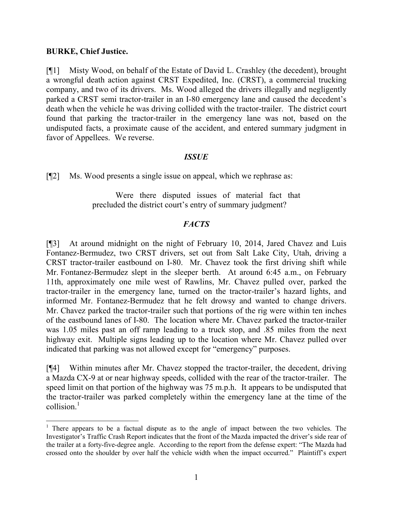#### **BURKE, Chief Justice.**

 $\overline{\phantom{a}}$ 

[¶1] Misty Wood, on behalf of the Estate of David L. Crashley (the decedent), brought a wrongful death action against CRST Expedited, Inc. (CRST), a commercial trucking company, and two of its drivers. Ms. Wood alleged the drivers illegally and negligently parked a CRST semi tractor-trailer in an I-80 emergency lane and caused the decedent's death when the vehicle he was driving collided with the tractor-trailer. The district court found that parking the tractor-trailer in the emergency lane was not, based on the undisputed facts, a proximate cause of the accident, and entered summary judgment in favor of Appellees. We reverse.

#### *ISSUE*

[¶2] Ms. Wood presents a single issue on appeal, which we rephrase as:

Were there disputed issues of material fact that precluded the district court's entry of summary judgment?

### *FACTS*

[¶3] At around midnight on the night of February 10, 2014, Jared Chavez and Luis Fontanez-Bermudez, two CRST drivers, set out from Salt Lake City, Utah, driving a CRST tractor-trailer eastbound on I-80. Mr. Chavez took the first driving shift while Mr. Fontanez-Bermudez slept in the sleeper berth. At around 6:45 a.m., on February 11th, approximately one mile west of Rawlins, Mr. Chavez pulled over, parked the tractor-trailer in the emergency lane, turned on the tractor-trailer's hazard lights, and informed Mr. Fontanez-Bermudez that he felt drowsy and wanted to change drivers. Mr. Chavez parked the tractor-trailer such that portions of the rig were within ten inches of the eastbound lanes of I-80. The location where Mr. Chavez parked the tractor-trailer was 1.05 miles past an off ramp leading to a truck stop, and .85 miles from the next highway exit. Multiple signs leading up to the location where Mr. Chavez pulled over indicated that parking was not allowed except for "emergency" purposes.

[¶4] Within minutes after Mr. Chavez stopped the tractor-trailer, the decedent, driving a Mazda CX-9 at or near highway speeds, collided with the rear of the tractor-trailer. The speed limit on that portion of the highway was 75 m.p.h. It appears to be undisputed that the tractor-trailer was parked completely within the emergency lane at the time of the collision. 1

 $1$  There appears to be a factual dispute as to the angle of impact between the two vehicles. The Investigator's Traffic Crash Report indicates that the front of the Mazda impacted the driver's side rear of the trailer at a forty-five-degree angle. According to the report from the defense expert: "The Mazda had crossed onto the shoulder by over half the vehicle width when the impact occurred." Plaintiff's expert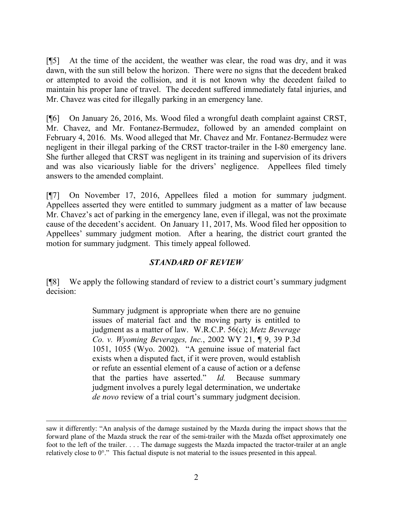[¶5] At the time of the accident, the weather was clear, the road was dry, and it was dawn, with the sun still below the horizon. There were no signs that the decedent braked or attempted to avoid the collision, and it is not known why the decedent failed to maintain his proper lane of travel. The decedent suffered immediately fatal injuries, and Mr. Chavez was cited for illegally parking in an emergency lane.

[¶6] On January 26, 2016, Ms. Wood filed a wrongful death complaint against CRST, Mr. Chavez, and Mr. Fontanez-Bermudez, followed by an amended complaint on February 4, 2016. Ms. Wood alleged that Mr. Chavez and Mr. Fontanez-Bermudez were negligent in their illegal parking of the CRST tractor-trailer in the I-80 emergency lane. She further alleged that CRST was negligent in its training and supervision of its drivers and was also vicariously liable for the drivers' negligence. Appellees filed timely answers to the amended complaint.

[¶7] On November 17, 2016, Appellees filed a motion for summary judgment. Appellees asserted they were entitled to summary judgment as a matter of law because Mr. Chavez's act of parking in the emergency lane, even if illegal, was not the proximate cause of the decedent's accident. On January 11, 2017, Ms. Wood filed her opposition to Appellees' summary judgment motion. After a hearing, the district court granted the motion for summary judgment. This timely appeal followed.

# *STANDARD OF REVIEW*

[¶8] We apply the following standard of review to a district court's summary judgment decision:

> Summary judgment is appropriate when there are no genuine issues of material fact and the moving party is entitled to judgment as a matter of law. W.R.C.P. 56(c); *Metz Beverage Co. v. Wyoming Beverages, Inc.*, 2002 WY 21, ¶ 9, 39 P.3d 1051, 1055 (Wyo. 2002). "A genuine issue of material fact exists when a disputed fact, if it were proven, would establish or refute an essential element of a cause of action or a defense that the parties have asserted." *Id.* Because summary judgment involves a purely legal determination, we undertake *de novo* review of a trial court's summary judgment decision.

 $\overline{\phantom{a}}$ 

saw it differently: "An analysis of the damage sustained by the Mazda during the impact shows that the forward plane of the Mazda struck the rear of the semi-trailer with the Mazda offset approximately one foot to the left of the trailer. . . . The damage suggests the Mazda impacted the tractor-trailer at an angle relatively close to 0°." This factual dispute is not material to the issues presented in this appeal.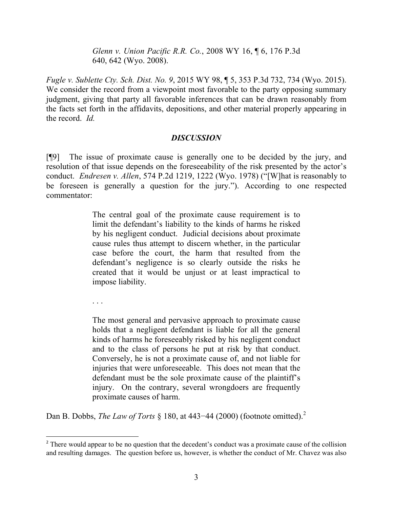*Glenn v. Union Pacific R.R. Co.*, 2008 WY 16, ¶ 6, 176 P.3d 640, 642 (Wyo. 2008).

*Fugle v. Sublette Cty. Sch. Dist. No. 9*, 2015 WY 98, ¶ 5, 353 P.3d 732, 734 (Wyo. 2015). We consider the record from a viewpoint most favorable to the party opposing summary judgment, giving that party all favorable inferences that can be drawn reasonably from the facts set forth in the affidavits, depositions, and other material properly appearing in the record. *Id.*

### *DISCUSSION*

[¶9] The issue of proximate cause is generally one to be decided by the jury, and resolution of that issue depends on the foreseeability of the risk presented by the actor's conduct. *Endresen v. Allen*, 574 P.2d 1219, 1222 (Wyo. 1978) ("[W]hat is reasonably to be foreseen is generally a question for the jury."). According to one respected commentator:

> The central goal of the proximate cause requirement is to limit the defendant's liability to the kinds of harms he risked by his negligent conduct. Judicial decisions about proximate cause rules thus attempt to discern whether, in the particular case before the court, the harm that resulted from the defendant's negligence is so clearly outside the risks he created that it would be unjust or at least impractical to impose liability.

. . .

 $\overline{a}$ 

The most general and pervasive approach to proximate cause holds that a negligent defendant is liable for all the general kinds of harms he foreseeably risked by his negligent conduct and to the class of persons he put at risk by that conduct. Conversely, he is not a proximate cause of, and not liable for injuries that were unforeseeable. This does not mean that the defendant must be the sole proximate cause of the plaintiff's injury. On the contrary, several wrongdoers are frequently proximate causes of harm.

Dan B. Dobbs, *The Law of Torts* § 180, at 443−44 (2000) (footnote omitted).<sup>2</sup>

<sup>&</sup>lt;sup>2</sup> There would appear to be no question that the decedent's conduct was a proximate cause of the collision and resulting damages. The question before us, however, is whether the conduct of Mr. Chavez was also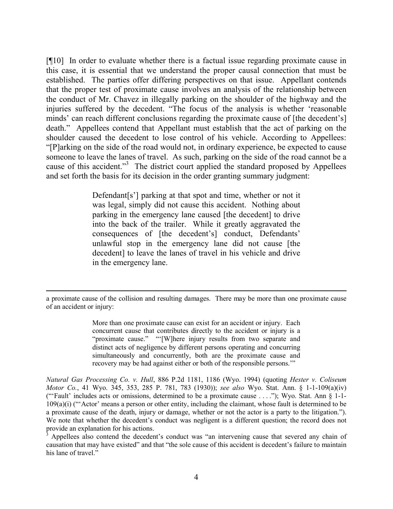[¶10] In order to evaluate whether there is a factual issue regarding proximate cause in this case, it is essential that we understand the proper causal connection that must be established. The parties offer differing perspectives on that issue. Appellant contends that the proper test of proximate cause involves an analysis of the relationship between the conduct of Mr. Chavez in illegally parking on the shoulder of the highway and the injuries suffered by the decedent. "The focus of the analysis is whether 'reasonable minds' can reach different conclusions regarding the proximate cause of [the decedent's] death." Appellees contend that Appellant must establish that the act of parking on the shoulder caused the decedent to lose control of his vehicle. According to Appellees: "[P]arking on the side of the road would not, in ordinary experience, be expected to cause someone to leave the lanes of travel. As such, parking on the side of the road cannot be a cause of this accident."<sup>3</sup> The district court applied the standard proposed by Appellees and set forth the basis for its decision in the order granting summary judgment:

> Defendant [s'] parking at that spot and time, whether or not it was legal, simply did not cause this accident. Nothing about parking in the emergency lane caused [the decedent] to drive into the back of the trailer. While it greatly aggravated the consequences of [the decedent's] conduct, Defendants' unlawful stop in the emergency lane did not cause [the decedent] to leave the lanes of travel in his vehicle and drive in the emergency lane.

a proximate cause of the collision and resulting damages. There may be more than one proximate cause of an accident or injury:

 $\overline{a}$ 

More than one proximate cause can exist for an accident or injury. Each concurrent cause that contributes directly to the accident or injury is a "proximate cause." "'[W]here injury results from two separate and distinct acts of negligence by different persons operating and concurring simultaneously and concurrently, both are the proximate cause and recovery may be had against either or both of the responsible persons.'"

*Natural Gas Processing Co. v. Hull*, 886 P.2d 1181, 1186 (Wyo. 1994) (quoting *Hester v. Coliseum Motor Co.*, 41 Wyo. 345, 353, 285 P. 781, 783 (1930)); *see also* Wyo. Stat. Ann. § 1-1-109(a)(iv) ("'Fault' includes acts or omissions, determined to be a proximate cause . . . ."); Wyo. Stat. Ann § 1-1- 109(a)(i) ("'Actor' means a person or other entity, including the claimant, whose fault is determined to be a proximate cause of the death, injury or damage, whether or not the actor is a party to the litigation."). We note that whether the decedent's conduct was negligent is a different question; the record does not provide an explanation for his actions.

Appellees also contend the decedent's conduct was "an intervening cause that severed any chain of causation that may have existed" and that "the sole cause of this accident is decedent's failure to maintain his lane of travel."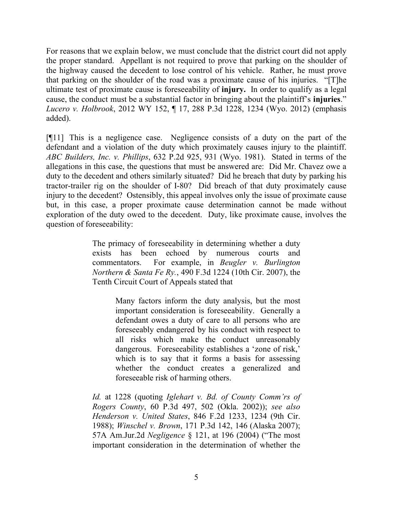For reasons that we explain below, we must conclude that the district court did not apply the proper standard. Appellant is not required to prove that parking on the shoulder of the highway caused the decedent to lose control of his vehicle. Rather, he must prove that parking on the shoulder of the road was a proximate cause of his injuries. "[T]he ultimate test of proximate cause is foreseeability of **injury.** In order to qualify as a legal cause, the conduct must be a substantial factor in bringing about the plaintiff's **injuries**." *Lucero v. Holbrook*, 2012 WY 152, ¶ 17, 288 P.3d 1228, 1234 (Wyo. 2012) (emphasis added).

[¶11] This is a negligence case. Negligence consists of a duty on the part of the defendant and a violation of the duty which proximately causes injury to the plaintiff. *ABC Builders, Inc. v. Phillips*, 632 P.2d 925, 931 (Wyo. 1981). Stated in terms of the allegations in this case, the questions that must be answered are: Did Mr. Chavez owe a duty to the decedent and others similarly situated? Did he breach that duty by parking his tractor-trailer rig on the shoulder of I-80? Did breach of that duty proximately cause injury to the decedent? Ostensibly, this appeal involves only the issue of proximate cause but, in this case, a proper proximate cause determination cannot be made without exploration of the duty owed to the decedent. Duty, like proximate cause, involves the question of foreseeability:

> The primacy of foreseeability in determining whether a duty exists has been echoed by numerous courts and commentators. For example, in *Beugler v. Burlington Northern & Santa Fe Ry.*, 490 F.3d 1224 (10th Cir. 2007), the Tenth Circuit Court of Appeals stated that

> > Many factors inform the duty analysis, but the most important consideration is foreseeability. Generally a defendant owes a duty of care to all persons who are foreseeably endangered by his conduct with respect to all risks which make the conduct unreasonably dangerous. Foreseeability establishes a 'zone of risk,' which is to say that it forms a basis for assessing whether the conduct creates a generalized and foreseeable risk of harming others.

*Id.* at 1228 (quoting *Iglehart v. Bd. of County Comm'rs of Rogers County*, 60 P.3d 497, 502 (Okla. 2002)); *see also Henderson v. United States*, 846 F.2d 1233, 1234 (9th Cir. 1988); *Winschel v. Brown*, 171 P.3d 142, 146 (Alaska 2007); 57A Am.Jur.2d *Negligence* § 121, at 196 (2004) ("The most important consideration in the determination of whether the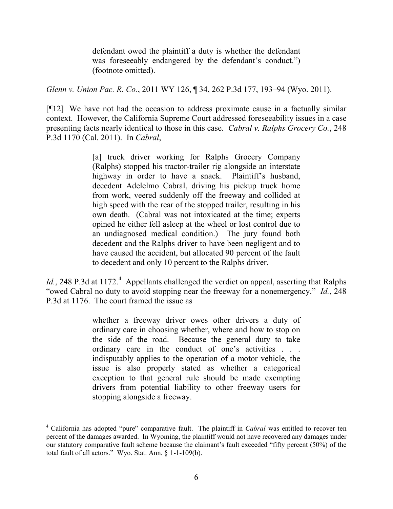defendant owed the plaintiff a duty is whether the defendant was foreseeably endangered by the defendant's conduct.") (footnote omitted).

*Glenn v. Union Pac. R. Co.*, 2011 WY 126, ¶ 34, 262 P.3d 177, 193–94 (Wyo. 2011).

[¶12] We have not had the occasion to address proximate cause in a factually similar context. However, the California Supreme Court addressed foreseeability issues in a case presenting facts nearly identical to those in this case. *Cabral v. Ralphs Grocery Co.*, 248 P.3d 1170 (Cal. 2011). In *Cabral*,

> [a] truck driver working for Ralphs Grocery Company (Ralphs) stopped his tractor-trailer rig alongside an interstate highway in order to have a snack. Plaintiff's husband, decedent Adelelmo Cabral, driving his pickup truck home from work, veered suddenly off the freeway and collided at high speed with the rear of the stopped trailer, resulting in his own death. (Cabral was not intoxicated at the time; experts opined he either fell asleep at the wheel or lost control due to an undiagnosed medical condition.) The jury found both decedent and the Ralphs driver to have been negligent and to have caused the accident, but allocated 90 percent of the fault to decedent and only 10 percent to the Ralphs driver.

*Id.*, 248 P.3d at 1172.<sup>4</sup> Appellants challenged the verdict on appeal, asserting that Ralphs "owed Cabral no duty to avoid stopping near the freeway for a nonemergency." *Id.*, 248 P.3d at 1176. The court framed the issue as

> whether a freeway driver owes other drivers a duty of ordinary care in choosing whether, where and how to stop on the side of the road. Because the general duty to take ordinary care in the conduct of one's activities . . . indisputably applies to the operation of a motor vehicle, the issue is also properly stated as whether a categorical exception to that general rule should be made exempting drivers from potential liability to other freeway users for stopping alongside a freeway.

 $\overline{\phantom{a}}$ 

<sup>4</sup> California has adopted "pure" comparative fault. The plaintiff in *Cabral* was entitled to recover ten percent of the damages awarded. In Wyoming, the plaintiff would not have recovered any damages under our statutory comparative fault scheme because the claimant's fault exceeded "fifty percent (50%) of the total fault of all actors." Wyo. Stat. Ann. § 1-1-109(b).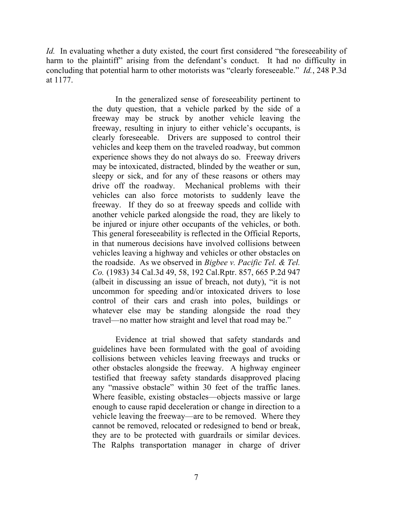*Id.* In evaluating whether a duty existed, the court first considered "the foreseeability of harm to the plaintiff" arising from the defendant's conduct. It had no difficulty in concluding that potential harm to other motorists was "clearly foreseeable." *Id.*, 248 P.3d at 1177.

> In the generalized sense of foreseeability pertinent to the duty question, that a vehicle parked by the side of a freeway may be struck by another vehicle leaving the freeway, resulting in injury to either vehicle's occupants, is clearly foreseeable. Drivers are supposed to control their vehicles and keep them on the traveled roadway, but common experience shows they do not always do so. Freeway drivers may be intoxicated, distracted, blinded by the weather or sun, sleepy or sick, and for any of these reasons or others may drive off the roadway. Mechanical problems with their vehicles can also force motorists to suddenly leave the freeway. If they do so at freeway speeds and collide with another vehicle parked alongside the road, they are likely to be injured or injure other occupants of the vehicles, or both. This general foreseeability is reflected in the Official Reports, in that numerous decisions have involved collisions between vehicles leaving a highway and vehicles or other obstacles on the roadside. As we observed in *Bigbee v. Pacific Tel. & Tel. Co.* (1983) 34 Cal.3d 49, 58, 192 Cal.Rptr. 857, 665 P.2d 947 (albeit in discussing an issue of breach, not duty), "it is not uncommon for speeding and/or intoxicated drivers to lose control of their cars and crash into poles, buildings or whatever else may be standing alongside the road they travel—no matter how straight and level that road may be."

> Evidence at trial showed that safety standards and guidelines have been formulated with the goal of avoiding collisions between vehicles leaving freeways and trucks or other obstacles alongside the freeway. A highway engineer testified that freeway safety standards disapproved placing any "massive obstacle" within 30 feet of the traffic lanes. Where feasible, existing obstacles—objects massive or large enough to cause rapid deceleration or change in direction to a vehicle leaving the freeway—are to be removed. Where they cannot be removed, relocated or redesigned to bend or break, they are to be protected with guardrails or similar devices. The Ralphs transportation manager in charge of driver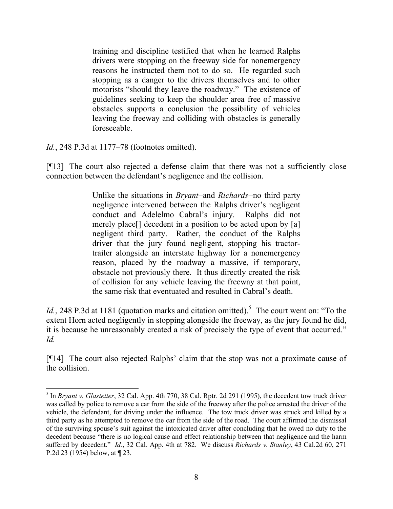training and discipline testified that when he learned Ralphs drivers were stopping on the freeway side for nonemergency reasons he instructed them not to do so. He regarded such stopping as a danger to the drivers themselves and to other motorists "should they leave the roadway." The existence of guidelines seeking to keep the shoulder area free of massive obstacles supports a conclusion the possibility of vehicles leaving the freeway and colliding with obstacles is generally foreseeable.

*Id.*, 248 P.3d at 1177–78 (footnotes omitted).

l

[¶13] The court also rejected a defense claim that there was not a sufficiently close connection between the defendant's negligence and the collision.

> Unlike the situations in *Bryant*−and *Richards*−no third party negligence intervened between the Ralphs driver's negligent conduct and Adelelmo Cabral's injury. Ralphs did not merely place<sup>[]</sup> decedent in a position to be acted upon by [a] negligent third party. Rather, the conduct of the Ralphs driver that the jury found negligent, stopping his tractortrailer alongside an interstate highway for a nonemergency reason, placed by the roadway a massive, if temporary, obstacle not previously there. It thus directly created the risk of collision for any vehicle leaving the freeway at that point, the same risk that eventuated and resulted in Cabral's death.

*Id.*, 248 P.3d at 1181 (quotation marks and citation omitted).<sup>5</sup> The court went on: "To the extent Horn acted negligently in stopping alongside the freeway, as the jury found he did, it is because he unreasonably created a risk of precisely the type of event that occurred." *Id.* 

[¶14] The court also rejected Ralphs' claim that the stop was not a proximate cause of the collision.

<sup>&</sup>lt;sup>5</sup> In *Bryant v. Glastetter*, 32 Cal. App. 4th 770, 38 Cal. Rptr. 2d 291 (1995), the decedent tow truck driver was called by police to remove a car from the side of the freeway after the police arrested the driver of the vehicle, the defendant, for driving under the influence. The tow truck driver was struck and killed by a third party as he attempted to remove the car from the side of the road. The court affirmed the dismissal of the surviving spouse's suit against the intoxicated driver after concluding that he owed no duty to the decedent because "there is no logical cause and effect relationship between that negligence and the harm suffered by decedent." *Id.*, 32 Cal. App. 4th at 782. We discuss *Richards v. Stanley*, 43 Cal.2d 60, 271 P.2d 23 (1954) below, at ¶ 23.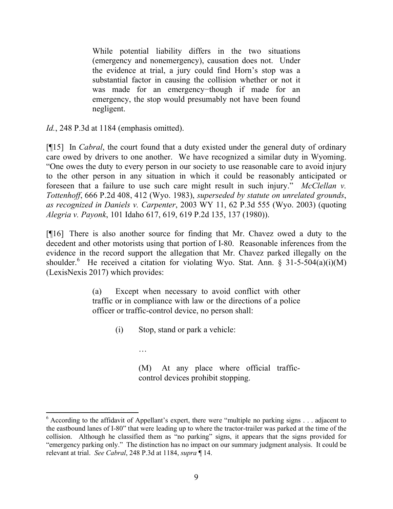While potential liability differs in the two situations (emergency and nonemergency), causation does not. Under the evidence at trial, a jury could find Horn's stop was a substantial factor in causing the collision whether or not it was made for an emergency−though if made for an emergency, the stop would presumably not have been found negligent.

*Id.*, 248 P.3d at 1184 (emphasis omitted).

[¶15] In *Cabral*, the court found that a duty existed under the general duty of ordinary care owed by drivers to one another. We have recognized a similar duty in Wyoming. "One owes the duty to every person in our society to use reasonable care to avoid injury to the other person in any situation in which it could be reasonably anticipated or foreseen that a failure to use such care might result in such injury." *McClellan v. Tottenhoff*, 666 P.2d 408, 412 (Wyo. 1983), *superseded by statute on unrelated grounds*, *as recognized in Daniels v. Carpenter*, 2003 WY 11, 62 P.3d 555 (Wyo. 2003) (quoting *Alegria v. Payonk*, 101 Idaho 617, 619, 619 P.2d 135, 137 (1980)).

[¶16] There is also another source for finding that Mr. Chavez owed a duty to the decedent and other motorists using that portion of I-80. Reasonable inferences from the evidence in the record support the allegation that Mr. Chavez parked illegally on the shoulder.<sup>6</sup> He received a citation for violating Wyo. Stat. Ann. § 31-5-504(a)(i)(M) (LexisNexis 2017) which provides:

> (a) Except when necessary to avoid conflict with other traffic or in compliance with law or the directions of a police officer or traffic-control device, no person shall:

(i) Stop, stand or park a vehicle:

…

 $\overline{\phantom{a}}$ 

(M) At any place where official trafficcontrol devices prohibit stopping.

 $6$  According to the affidavit of Appellant's expert, there were "multiple no parking signs  $\ldots$  adjacent to the eastbound lanes of I-80" that were leading up to where the tractor-trailer was parked at the time of the collision. Although he classified them as "no parking" signs, it appears that the signs provided for "emergency parking only." The distinction has no impact on our summary judgment analysis. It could be relevant at trial. *See Cabral*, 248 P.3d at 1184, *supra* ¶ 14.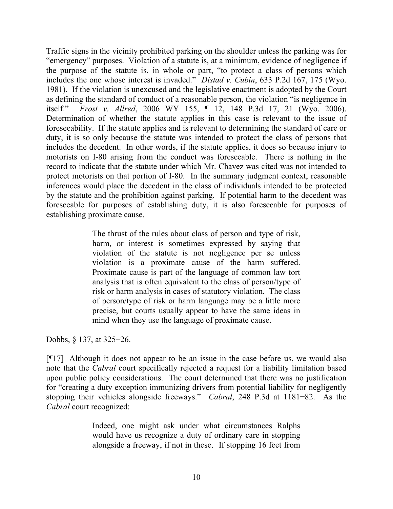Traffic signs in the vicinity prohibited parking on the shoulder unless the parking was for "emergency" purposes. Violation of a statute is, at a minimum, evidence of negligence if the purpose of the statute is, in whole or part, "to protect a class of persons which includes the one whose interest is invaded." *Distad v. Cubin*, 633 P.2d 167, 175 (Wyo. 1981). If the violation is unexcused and the legislative enactment is adopted by the Court as defining the standard of conduct of a reasonable person, the violation "is negligence in itself." *Frost v. Allred*, 2006 WY 155, ¶ 12, 148 P.3d 17, 21 (Wyo. 2006). Determination of whether the statute applies in this case is relevant to the issue of foreseeability. If the statute applies and is relevant to determining the standard of care or duty, it is so only because the statute was intended to protect the class of persons that includes the decedent. In other words, if the statute applies, it does so because injury to motorists on I-80 arising from the conduct was foreseeable. There is nothing in the record to indicate that the statute under which Mr. Chavez was cited was not intended to protect motorists on that portion of I-80. In the summary judgment context, reasonable inferences would place the decedent in the class of individuals intended to be protected by the statute and the prohibition against parking. If potential harm to the decedent was foreseeable for purposes of establishing duty, it is also foreseeable for purposes of establishing proximate cause.

> The thrust of the rules about class of person and type of risk, harm, or interest is sometimes expressed by saying that violation of the statute is not negligence per se unless violation is a proximate cause of the harm suffered. Proximate cause is part of the language of common law tort analysis that is often equivalent to the class of person/type of risk or harm analysis in cases of statutory violation. The class of person/type of risk or harm language may be a little more precise, but courts usually appear to have the same ideas in mind when they use the language of proximate cause.

Dobbs, § 137, at 325–26.

[¶17] Although it does not appear to be an issue in the case before us, we would also note that the *Cabral* court specifically rejected a request for a liability limitation based upon public policy considerations. The court determined that there was no justification for "creating a duty exception immunizing drivers from potential liability for negligently stopping their vehicles alongside freeways." *Cabral*, 248 P.3d at 1181−82. As the *Cabral* court recognized:

> Indeed, one might ask under what circumstances Ralphs would have us recognize a duty of ordinary care in stopping alongside a freeway, if not in these. If stopping 16 feet from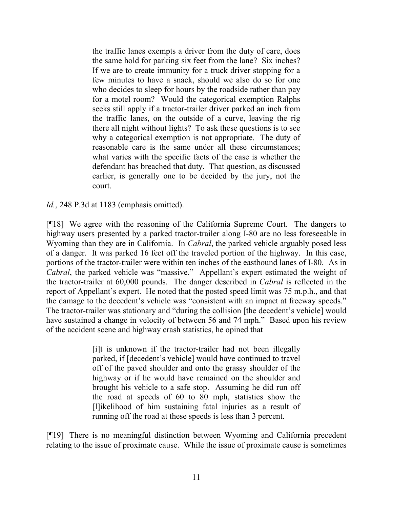the traffic lanes exempts a driver from the duty of care, does the same hold for parking six feet from the lane? Six inches? If we are to create immunity for a truck driver stopping for a few minutes to have a snack, should we also do so for one who decides to sleep for hours by the roadside rather than pay for a motel room? Would the categorical exemption Ralphs seeks still apply if a tractor-trailer driver parked an inch from the traffic lanes, on the outside of a curve, leaving the rig there all night without lights? To ask these questions is to see why a categorical exemption is not appropriate. The duty of reasonable care is the same under all these circumstances; what varies with the specific facts of the case is whether the defendant has breached that duty. That question, as discussed earlier, is generally one to be decided by the jury, not the court.

*Id.*, 248 P.3d at 1183 (emphasis omitted).

[¶18] We agree with the reasoning of the California Supreme Court. The dangers to highway users presented by a parked tractor-trailer along I-80 are no less foreseeable in Wyoming than they are in California. In *Cabral*, the parked vehicle arguably posed less of a danger. It was parked 16 feet off the traveled portion of the highway. In this case, portions of the tractor-trailer were within ten inches of the eastbound lanes of I-80. As in *Cabral*, the parked vehicle was "massive." Appellant's expert estimated the weight of the tractor-trailer at 60,000 pounds. The danger described in *Cabral* is reflected in the report of Appellant's expert. He noted that the posted speed limit was 75 m.p.h., and that the damage to the decedent's vehicle was "consistent with an impact at freeway speeds." The tractor-trailer was stationary and "during the collision [the decedent's vehicle] would have sustained a change in velocity of between 56 and 74 mph." Based upon his review of the accident scene and highway crash statistics, he opined that

> [i]t is unknown if the tractor-trailer had not been illegally parked, if [decedent's vehicle] would have continued to travel off of the paved shoulder and onto the grassy shoulder of the highway or if he would have remained on the shoulder and brought his vehicle to a safe stop. Assuming he did run off the road at speeds of 60 to 80 mph, statistics show the [l]ikelihood of him sustaining fatal injuries as a result of running off the road at these speeds is less than 3 percent.

[¶19] There is no meaningful distinction between Wyoming and California precedent relating to the issue of proximate cause. While the issue of proximate cause is sometimes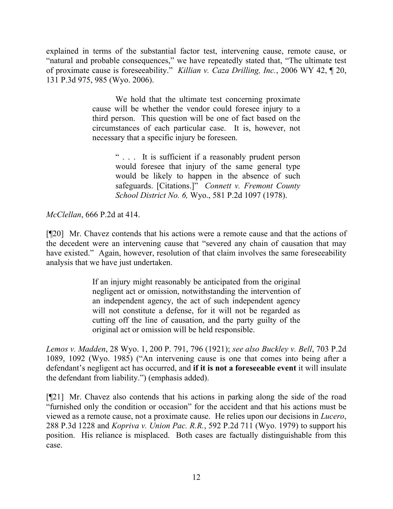explained in terms of the substantial factor test, intervening cause, remote cause, or "natural and probable consequences," we have repeatedly stated that, "The ultimate test of proximate cause is foreseeability." *Killian v. Caza Drilling, Inc.*, 2006 WY 42, ¶ 20, 131 P.3d 975, 985 (Wyo. 2006).

> We hold that the ultimate test concerning proximate cause will be whether the vendor could foresee injury to a third person. This question will be one of fact based on the circumstances of each particular case. It is, however, not necessary that a specific injury be foreseen.

> > " . . . It is sufficient if a reasonably prudent person would foresee that injury of the same general type would be likely to happen in the absence of such safeguards. [Citations.]" *Connett v. Fremont County School District No. 6,* Wyo., 581 P.2d 1097 (1978).

*McClellan*, 666 P.2d at 414.

[¶20] Mr. Chavez contends that his actions were a remote cause and that the actions of the decedent were an intervening cause that "severed any chain of causation that may have existed." Again, however, resolution of that claim involves the same foreseeability analysis that we have just undertaken.

> If an injury might reasonably be anticipated from the original negligent act or omission, notwithstanding the intervention of an independent agency, the act of such independent agency will not constitute a defense, for it will not be regarded as cutting off the line of causation, and the party guilty of the original act or omission will be held responsible.

*Lemos v. Madden*, 28 Wyo. 1, 200 P. 791, 796 (1921); *see also Buckley v. Bell*, 703 P.2d 1089, 1092 (Wyo. 1985) ("An intervening cause is one that comes into being after a defendant's negligent act has occurred, and **if it is not a foreseeable event** it will insulate the defendant from liability.") (emphasis added).

[¶21] Mr. Chavez also contends that his actions in parking along the side of the road "furnished only the condition or occasion" for the accident and that his actions must be viewed as a remote cause, not a proximate cause. He relies upon our decisions in *Lucero*, 288 P.3d 1228 and *Kopriva v. Union Pac. R.R.*, 592 P.2d 711 (Wyo. 1979) to support his position. His reliance is misplaced. Both cases are factually distinguishable from this case.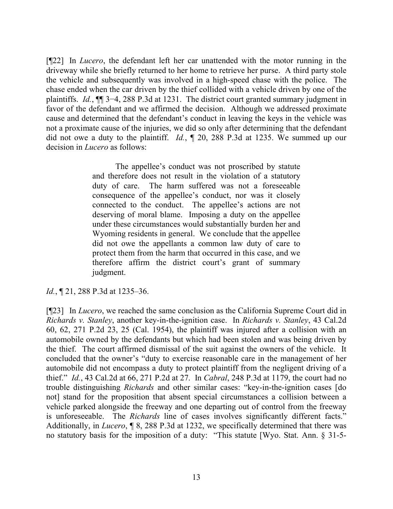[¶22] In *Lucero*, the defendant left her car unattended with the motor running in the driveway while she briefly returned to her home to retrieve her purse. A third party stole the vehicle and subsequently was involved in a high-speed chase with the police. The chase ended when the car driven by the thief collided with a vehicle driven by one of the plaintiffs. *Id.*, ¶¶ 3−4, 288 P.3d at 1231. The district court granted summary judgment in favor of the defendant and we affirmed the decision. Although we addressed proximate cause and determined that the defendant's conduct in leaving the keys in the vehicle was not a proximate cause of the injuries, we did so only after determining that the defendant did not owe a duty to the plaintiff. *Id.*, ¶ 20, 288 P.3d at 1235. We summed up our decision in *Lucero* as follows:

> The appellee's conduct was not proscribed by statute and therefore does not result in the violation of a statutory duty of care. The harm suffered was not a foreseeable consequence of the appellee's conduct, nor was it closely connected to the conduct. The appellee's actions are not deserving of moral blame. Imposing a duty on the appellee under these circumstances would substantially burden her and Wyoming residents in general. We conclude that the appellee did not owe the appellants a common law duty of care to protect them from the harm that occurred in this case, and we therefore affirm the district court's grant of summary judgment.

*Id.*, ¶ 21, 288 P.3d at 1235–36.

[¶23] In *Lucero*, we reached the same conclusion as the California Supreme Court did in *Richards v. Stanley*, another key-in-the-ignition case. In *Richards v. Stanley*, 43 Cal.2d 60, 62, 271 P.2d 23, 25 (Cal. 1954), the plaintiff was injured after a collision with an automobile owned by the defendants but which had been stolen and was being driven by the thief. The court affirmed dismissal of the suit against the owners of the vehicle. It concluded that the owner's "duty to exercise reasonable care in the management of her automobile did not encompass a duty to protect plaintiff from the negligent driving of a thief." *Id.*, 43 Cal.2d at 66, 271 P.2d at 27. In *Cabral*, 248 P.3d at 1179, the court had no trouble distinguishing *Richards* and other similar cases: "key-in-the-ignition cases [do not] stand for the proposition that absent special circumstances a collision between a vehicle parked alongside the freeway and one departing out of control from the freeway is unforeseeable. The *Richards* line of cases involves significantly different facts." Additionally, in *Lucero*, ¶ 8, 288 P.3d at 1232, we specifically determined that there was no statutory basis for the imposition of a duty: "This statute [Wyo. Stat. Ann. § 31-5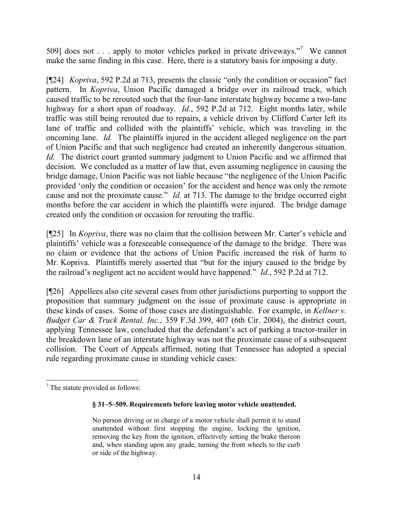509] does not . . . apply to motor vehicles parked in private driveways."<sup>7</sup> We cannot make the same finding in this case. Here, there is a statutory basis for imposing a duty.

[¶24] *Kopriva*, 592 P.2d at 713, presents the classic "only the condition or occasion" fact pattern. In *Kopriva*, Union Pacific damaged a bridge over its railroad track, which caused traffic to be rerouted such that the four-lane interstate highway became a two-lane highway for a short span of roadway. *Id.*, 592 P.2d at 712. Eight months later, while traffic was still being rerouted due to repairs, a vehicle driven by Clifford Carter left its lane of traffic and collided with the plaintiffs' vehicle, which was traveling in the oncoming lane. *Id.* The plaintiffs injured in the accident alleged negligence on the part of Union Pacific and that such negligence had created an inherently dangerous situation. *Id.* The district court granted summary judgment to Union Pacific and we affirmed that decision. We concluded as a matter of law that, even assuming negligence in causing the bridge damage, Union Pacific was not liable because "the negligence of the Union Pacific provided 'only the condition or occasion' for the accident and hence was only the remote cause and not the proximate cause." *Id.* at 713. The damage to the bridge occurred eight months before the car accident in which the plaintiffs were injured. The bridge damage created only the condition or occasion for rerouting the traffic.

[¶25] In *Kopriva*, there was no claim that the collision between Mr. Carter's vehicle and plaintiffs' vehicle was a foreseeable consequence of the damage to the bridge. There was no claim or evidence that the actions of Union Pacific increased the risk of harm to Mr. Kopriva. Plaintiffs merely asserted that "but for the injury caused to the bridge by the railroad's negligent act no accident would have happened." *Id.*, 592 P.2d at 712.

[¶26] Appellees also cite several cases from other jurisdictions purporting to support the proposition that summary judgment on the issue of proximate cause is appropriate in these kinds of cases. Some of those cases are distinguishable. For example, in *Kellner v. Budget Car & Truck Rental, Inc.*, 359 F.3d 399, 407 (6th Cir. 2004), the district court, applying Tennessee law, concluded that the defendant's act of parking a tractor-trailer in the breakdown lane of an interstate highway was not the proximate cause of a subsequent collision. The Court of Appeals affirmed, noting that Tennessee has adopted a special rule regarding proximate cause in standing vehicle cases:

#### **§ 31–5–509. Requirements before leaving motor vehicle unattended.**

 $\overline{\phantom{a}}$  $<sup>7</sup>$  The statute provided as follows:</sup>

No person driving or in charge of a motor vehicle shall permit it to stand unattended without first stopping the engine, locking the ignition, removing the key from the ignition, effectively setting the brake thereon and, when standing upon any grade, turning the front wheels to the curb or side of the highway.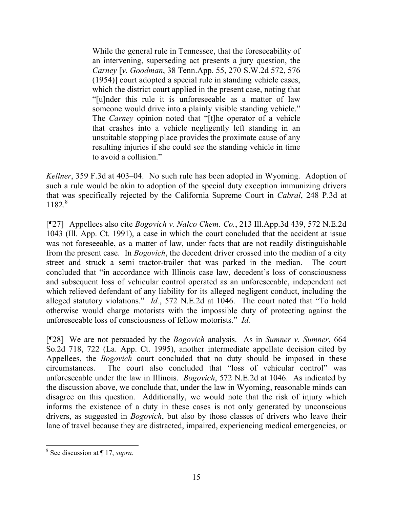While the general rule in Tennessee, that the foreseeability of an intervening, superseding act presents a jury question, the *Carney* [*v. Goodman*, 38 Tenn.App. 55, 270 S.W.2d 572, 576 (1954)] court adopted a special rule in standing vehicle cases, which the district court applied in the present case, noting that "[u]nder this rule it is unforeseeable as a matter of law someone would drive into a plainly visible standing vehicle." The *Carney* opinion noted that "[t]he operator of a vehicle that crashes into a vehicle negligently left standing in an unsuitable stopping place provides the proximate cause of any resulting injuries if she could see the standing vehicle in time to avoid a collision."

*Kellner*, 359 F.3d at 403–04. No such rule has been adopted in Wyoming. Adoption of such a rule would be akin to adoption of the special duty exception immunizing drivers that was specifically rejected by the California Supreme Court in *Cabral*, 248 P.3d at 1182. 8

[¶27] Appellees also cite *Bogovich v. Nalco Chem. Co.*, 213 Ill.App.3d 439, 572 N.E.2d 1043 (Ill. App. Ct. 1991), a case in which the court concluded that the accident at issue was not foreseeable, as a matter of law, under facts that are not readily distinguishable from the present case. In *Bogovich*, the decedent driver crossed into the median of a city street and struck a semi tractor-trailer that was parked in the median. The court concluded that "in accordance with Illinois case law, decedent's loss of consciousness and subsequent loss of vehicular control operated as an unforeseeable, independent act which relieved defendant of any liability for its alleged negligent conduct, including the alleged statutory violations." *Id.*, 572 N.E.2d at 1046. The court noted that "To hold otherwise would charge motorists with the impossible duty of protecting against the unforeseeable loss of consciousness of fellow motorists." *Id.*

[¶28] We are not persuaded by the *Bogovich* analysis. As in *Sumner v. Sumner*, 664 So.2d 718, 722 (La. App. Ct. 1995), another intermediate appellate decision cited by Appellees, the *Bogovich* court concluded that no duty should be imposed in these circumstances. The court also concluded that "loss of vehicular control" was unforeseeable under the law in Illinois. *Bogovich*, 572 N.E.2d at 1046. As indicated by the discussion above, we conclude that, under the law in Wyoming, reasonable minds can disagree on this question. Additionally, we would note that the risk of injury which informs the existence of a duty in these cases is not only generated by unconscious drivers, as suggested in *Bogovich*, but also by those classes of drivers who leave their lane of travel because they are distracted, impaired, experiencing medical emergencies, or

 $\overline{\phantom{a}}$ 8 See discussion at ¶ 17, *supra*.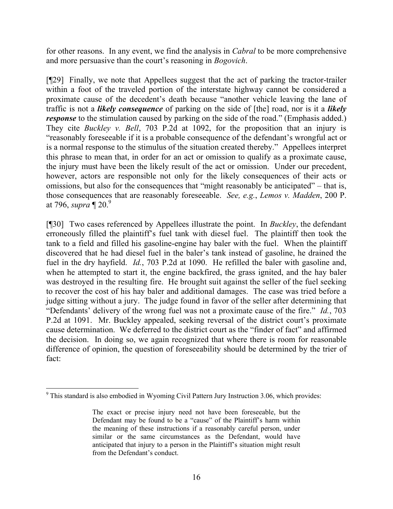for other reasons. In any event, we find the analysis in *Cabral* to be more comprehensive and more persuasive than the court's reasoning in *Bogovich*.

[¶29] Finally, we note that Appellees suggest that the act of parking the tractor-trailer within a foot of the traveled portion of the interstate highway cannot be considered a proximate cause of the decedent's death because "another vehicle leaving the lane of traffic is not a *likely consequence* of parking on the side of [the] road, nor is it a *likely response* to the stimulation caused by parking on the side of the road." (Emphasis added.) They cite *Buckley v. Bell*, 703 P.2d at 1092, for the proposition that an injury is "reasonably foreseeable if it is a probable consequence of the defendant's wrongful act or is a normal response to the stimulus of the situation created thereby." Appellees interpret this phrase to mean that, in order for an act or omission to qualify as a proximate cause, the injury must have been the likely result of the act or omission. Under our precedent, however, actors are responsible not only for the likely consequences of their acts or omissions, but also for the consequences that "might reasonably be anticipated" – that is, those consequences that are reasonably foreseeable. *See, e.g.*, *Lemos v. Madden*, 200 P. at 796, *supra* ¶ 20. 9

[¶30] Two cases referenced by Appellees illustrate the point. In *Buckley*, the defendant erroneously filled the plaintiff's fuel tank with diesel fuel. The plaintiff then took the tank to a field and filled his gasoline-engine hay baler with the fuel. When the plaintiff discovered that he had diesel fuel in the baler's tank instead of gasoline, he drained the fuel in the dry hayfield. *Id.*, 703 P.2d at 1090. He refilled the baler with gasoline and, when he attempted to start it, the engine backfired, the grass ignited, and the hay baler was destroyed in the resulting fire. He brought suit against the seller of the fuel seeking to recover the cost of his hay baler and additional damages. The case was tried before a judge sitting without a jury. The judge found in favor of the seller after determining that "Defendants' delivery of the wrong fuel was not a proximate cause of the fire." *Id.*, 703 P.2d at 1091. Mr. Buckley appealed, seeking reversal of the district court's proximate cause determination. We deferred to the district court as the "finder of fact" and affirmed the decision. In doing so, we again recognized that where there is room for reasonable difference of opinion, the question of foreseeability should be determined by the trier of fact:

l  $9$  This standard is also embodied in Wyoming Civil Pattern Jury Instruction 3.06, which provides:

The exact or precise injury need not have been foreseeable, but the Defendant may be found to be a "cause" of the Plaintiff's harm within the meaning of these instructions if a reasonably careful person, under similar or the same circumstances as the Defendant, would have anticipated that injury to a person in the Plaintiff's situation might result from the Defendant's conduct.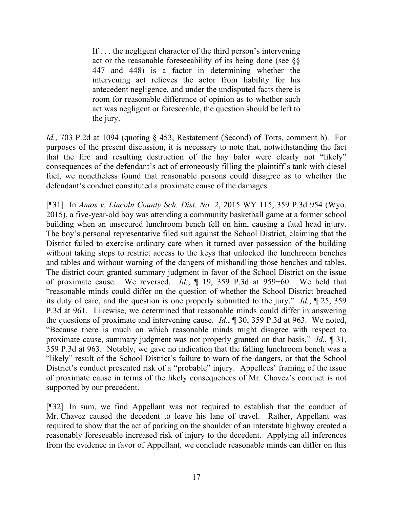If . . . the negligent character of the third person's intervening act or the reasonable foreseeability of its being done (see §§ 447 and 448) is a factor in determining whether the intervening act relieves the actor from liability for his antecedent negligence, and under the undisputed facts there is room for reasonable difference of opinion as to whether such act was negligent or foreseeable, the question should be left to the jury.

*Id.*, 703 P.2d at 1094 (quoting § 453, Restatement (Second) of Torts, comment b). For purposes of the present discussion, it is necessary to note that, notwithstanding the fact that the fire and resulting destruction of the hay baler were clearly not "likely" consequences of the defendant's act of erroneously filling the plaintiff's tank with diesel fuel, we nonetheless found that reasonable persons could disagree as to whether the defendant's conduct constituted a proximate cause of the damages.

[¶31] In *Amos v. Lincoln County Sch. Dist. No. 2*, 2015 WY 115, 359 P.3d 954 (Wyo. 2015), a five-year-old boy was attending a community basketball game at a former school building when an unsecured lunchroom bench fell on him, causing a fatal head injury. The boy's personal representative filed suit against the School District, claiming that the District failed to exercise ordinary care when it turned over possession of the building without taking steps to restrict access to the keys that unlocked the lunchroom benches and tables and without warning of the dangers of mishandling those benches and tables. The district court granted summary judgment in favor of the School District on the issue of proximate cause. We reversed. *Id.*, ¶ 19, 359 P.3d at 959−60. We held that "reasonable minds could differ on the question of whether the School District breached its duty of care, and the question is one properly submitted to the jury." *Id.*, ¶ 25, 359 P.3d at 961. Likewise, we determined that reasonable minds could differ in answering the questions of proximate and intervening cause. *Id.*, ¶ 30, 359 P.3d at 963. We noted, "Because there is much on which reasonable minds might disagree with respect to proximate cause, summary judgment was not properly granted on that basis." *Id.*, ¶ 31, 359 P.3d at 963. Notably, we gave no indication that the falling lunchroom bench was a "likely" result of the School District's failure to warn of the dangers, or that the School District's conduct presented risk of a "probable" injury. Appellees' framing of the issue of proximate cause in terms of the likely consequences of Mr. Chavez's conduct is not supported by our precedent.

[¶32] In sum, we find Appellant was not required to establish that the conduct of Mr. Chavez caused the decedent to leave his lane of travel. Rather, Appellant was required to show that the act of parking on the shoulder of an interstate highway created a reasonably foreseeable increased risk of injury to the decedent. Applying all inferences from the evidence in favor of Appellant, we conclude reasonable minds can differ on this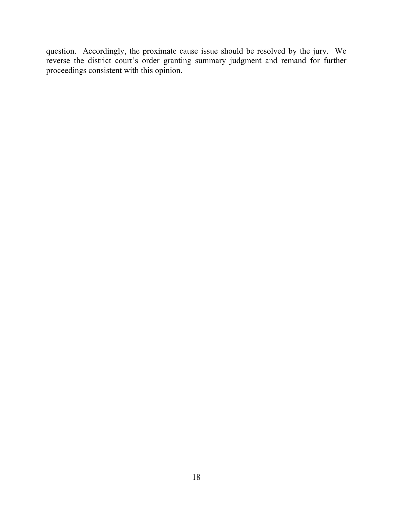question. Accordingly, the proximate cause issue should be resolved by the jury. We reverse the district court's order granting summary judgment and remand for further proceedings consistent with this opinion.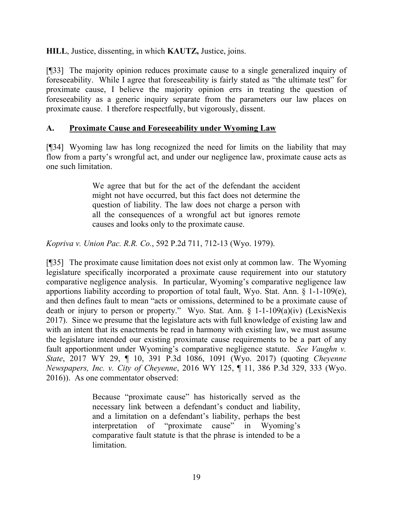**HILL**, Justice, dissenting, in which **KAUTZ,** Justice, joins.

[¶33] The majority opinion reduces proximate cause to a single generalized inquiry of foreseeability. While I agree that foreseeability is fairly stated as "the ultimate test" for proximate cause, I believe the majority opinion errs in treating the question of foreseeability as a generic inquiry separate from the parameters our law places on proximate cause. I therefore respectfully, but vigorously, dissent.

### **A. Proximate Cause and Foreseeability under Wyoming Law**

[¶34] Wyoming law has long recognized the need for limits on the liability that may flow from a party's wrongful act, and under our negligence law, proximate cause acts as one such limitation.

> We agree that but for the act of the defendant the accident might not have occurred, but this fact does not determine the question of liability. The law does not charge a person with all the consequences of a wrongful act but ignores remote causes and looks only to the proximate cause.

*Kopriva v. Union Pac. R.R. Co.*, 592 P.2d 711, 712-13 (Wyo. 1979).

[¶35] The proximate cause limitation does not exist only at common law. The Wyoming legislature specifically incorporated a proximate cause requirement into our statutory comparative negligence analysis. In particular, Wyoming's comparative negligence law apportions liability according to proportion of total fault, Wyo. Stat. Ann. § 1-1-109(e), and then defines fault to mean "acts or omissions, determined to be a proximate cause of death or injury to person or property." Wyo. Stat. Ann. § 1-1-109(a)(iv) (LexisNexis 2017). Since we presume that the legislature acts with full knowledge of existing law and with an intent that its enactments be read in harmony with existing law, we must assume the legislature intended our existing proximate cause requirements to be a part of any fault apportionment under Wyoming's comparative negligence statute. *See Vaughn v. State*, 2017 WY 29, ¶ 10, 391 P.3d 1086, 1091 (Wyo. 2017) (quoting *Cheyenne Newspapers, Inc. v. City of Cheyenne*, 2016 WY 125, ¶ 11, 386 P.3d 329, 333 (Wyo. 2016)). As one commentator observed:

> Because "proximate cause" has historically served as the necessary link between a defendant's conduct and liability, and a limitation on a defendant's liability, perhaps the best interpretation of "proximate cause" in Wyoming's comparative fault statute is that the phrase is intended to be a limitation.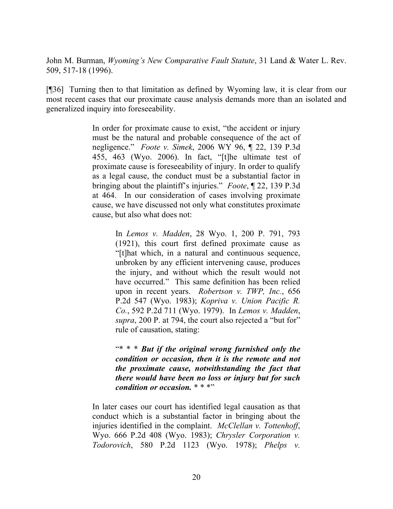John M. Burman, *Wyoming's New Comparative Fault Statute*, 31 Land & Water L. Rev. 509, 517-18 (1996).

[¶36] Turning then to that limitation as defined by Wyoming law, it is clear from our most recent cases that our proximate cause analysis demands more than an isolated and generalized inquiry into foreseeability.

> In order for proximate cause to exist, "the accident or injury must be the natural and probable consequence of the act of negligence." *Foote v. Simek*, 2006 WY 96, ¶ 22, 139 P.3d 455, 463 (Wyo. 2006). In fact, "[t]he ultimate test of proximate cause is foreseeability of injury. In order to qualify as a legal cause, the conduct must be a substantial factor in bringing about the plaintiff's injuries." *Foote*, ¶ 22, 139 P.3d at 464. In our consideration of cases involving proximate cause, we have discussed not only what constitutes proximate cause, but also what does not:

> > In *Lemos v. Madden*, 28 Wyo. 1, 200 P. 791, 793 (1921), this court first defined proximate cause as "[t]hat which, in a natural and continuous sequence, unbroken by any efficient intervening cause, produces the injury, and without which the result would not have occurred." This same definition has been relied upon in recent years. *Robertson v. TWP, Inc.*, 656 P.2d 547 (Wyo. 1983); *Kopriva v. Union Pacific R. Co.*, 592 P.2d 711 (Wyo. 1979). In *Lemos v. Madden*, *supra*, 200 P. at 794, the court also rejected a "but for" rule of causation, stating:

> > "\* \* \* *But if the original wrong furnished only the condition or occasion, then it is the remote and not the proximate cause, notwithstanding the fact that there would have been no loss or injury but for such condition or occasion.* \* \* \*"

In later cases our court has identified legal causation as that conduct which is a substantial factor in bringing about the injuries identified in the complaint. *McClellan v. Tottenhoff*, Wyo. 666 P.2d 408 (Wyo. 1983); *Chrysler Corporation v. Todorovich*, 580 P.2d 1123 (Wyo. 1978); *Phelps v.*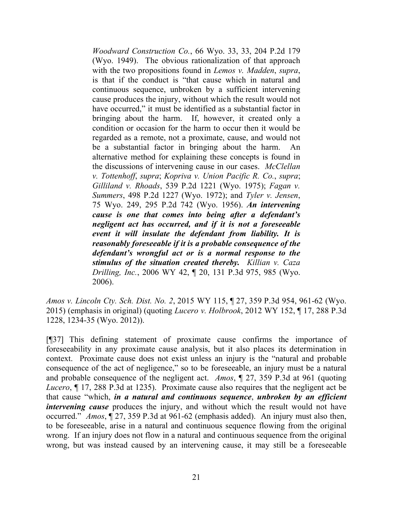*Woodward Construction Co.*, 66 Wyo. 33, 33, 204 P.2d 179 (Wyo. 1949). The obvious rationalization of that approach with the two propositions found in *Lemos v. Madden*, *supra*, is that if the conduct is "that cause which in natural and continuous sequence, unbroken by a sufficient intervening cause produces the injury, without which the result would not have occurred," it must be identified as a substantial factor in bringing about the harm. If, however, it created only a condition or occasion for the harm to occur then it would be regarded as a remote, not a proximate, cause, and would not be a substantial factor in bringing about the harm. An alternative method for explaining these concepts is found in the discussions of intervening cause in our cases. *McClellan v. Tottenhoff*, *supra*; *Kopriva v. Union Pacific R. Co.*, *supra*; *Gilliland v. Rhoads*, 539 P.2d 1221 (Wyo. 1975); *Fagan v. Summers*, 498 P.2d 1227 (Wyo. 1972); and *Tyler v. Jensen*, 75 Wyo. 249, 295 P.2d 742 (Wyo. 1956). *An intervening cause is one that comes into being after a defendant's negligent act has occurred, and if it is not a foreseeable event it will insulate the defendant from liability. It is reasonably foreseeable if it is a probable consequence of the defendant's wrongful act or is a normal response to the stimulus of the situation created thereby. Killian v. Caza Drilling, Inc.*, 2006 WY 42, ¶ 20, 131 P.3d 975, 985 (Wyo. 2006).

*Amos v. Lincoln Cty. Sch. Dist. No. 2*, 2015 WY 115, ¶ 27, 359 P.3d 954, 961-62 (Wyo. 2015) (emphasis in original) (quoting *Lucero v. Holbrook*, 2012 WY 152, ¶ 17, 288 P.3d 1228, 1234-35 (Wyo. 2012)).

[¶37] This defining statement of proximate cause confirms the importance of foreseeability in any proximate cause analysis, but it also places its determination in context. Proximate cause does not exist unless an injury is the "natural and probable consequence of the act of negligence," so to be foreseeable, an injury must be a natural and probable consequence of the negligent act. *Amos*, ¶ 27, 359 P.3d at 961 (quoting *Lucero*, ¶ 17, 288 P.3d at 1235). Proximate cause also requires that the negligent act be that cause "which, *in a natural and continuous sequence*, *unbroken by an efficient intervening cause* produces the injury, and without which the result would not have occurred." *Amos*, ¶ 27, 359 P.3d at 961-62 (emphasis added). An injury must also then, to be foreseeable, arise in a natural and continuous sequence flowing from the original wrong. If an injury does not flow in a natural and continuous sequence from the original wrong, but was instead caused by an intervening cause, it may still be a foreseeable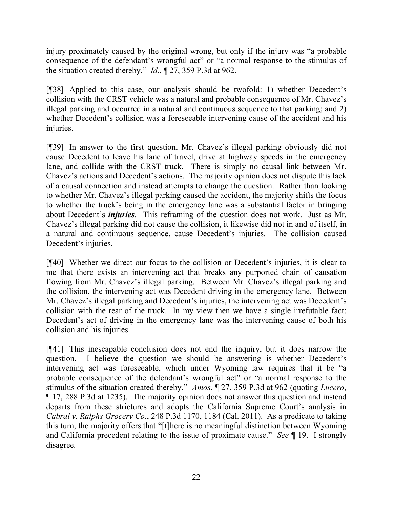injury proximately caused by the original wrong, but only if the injury was "a probable consequence of the defendant's wrongful act" or "a normal response to the stimulus of the situation created thereby." *Id*., ¶ 27, 359 P.3d at 962.

[¶38] Applied to this case, our analysis should be twofold: 1) whether Decedent's collision with the CRST vehicle was a natural and probable consequence of Mr. Chavez's illegal parking and occurred in a natural and continuous sequence to that parking; and 2) whether Decedent's collision was a foreseeable intervening cause of the accident and his injuries.

[¶39] In answer to the first question, Mr. Chavez's illegal parking obviously did not cause Decedent to leave his lane of travel, drive at highway speeds in the emergency lane, and collide with the CRST truck. There is simply no causal link between Mr. Chavez's actions and Decedent's actions. The majority opinion does not dispute this lack of a causal connection and instead attempts to change the question. Rather than looking to whether Mr. Chavez's illegal parking caused the accident, the majority shifts the focus to whether the truck's being in the emergency lane was a substantial factor in bringing about Decedent's *injuries*. This reframing of the question does not work. Just as Mr. Chavez's illegal parking did not cause the collision, it likewise did not in and of itself, in a natural and continuous sequence, cause Decedent's injuries. The collision caused Decedent's injuries.

[¶40] Whether we direct our focus to the collision or Decedent's injuries, it is clear to me that there exists an intervening act that breaks any purported chain of causation flowing from Mr. Chavez's illegal parking. Between Mr. Chavez's illegal parking and the collision, the intervening act was Decedent driving in the emergency lane. Between Mr. Chavez's illegal parking and Decedent's injuries, the intervening act was Decedent's collision with the rear of the truck. In my view then we have a single irrefutable fact: Decedent's act of driving in the emergency lane was the intervening cause of both his collision and his injuries.

[¶41] This inescapable conclusion does not end the inquiry, but it does narrow the question. I believe the question we should be answering is whether Decedent's intervening act was foreseeable, which under Wyoming law requires that it be "a probable consequence of the defendant's wrongful act" or "a normal response to the stimulus of the situation created thereby." *Amos*, ¶ 27, 359 P.3d at 962 (quoting *Lucero*, ¶ 17, 288 P.3d at 1235). The majority opinion does not answer this question and instead departs from these strictures and adopts the California Supreme Court's analysis in *Cabral v. Ralphs Grocery Co.*, 248 P.3d 1170, 1184 (Cal. 2011). As a predicate to taking this turn, the majority offers that "[t]here is no meaningful distinction between Wyoming and California precedent relating to the issue of proximate cause." *See* ¶ 19. I strongly disagree.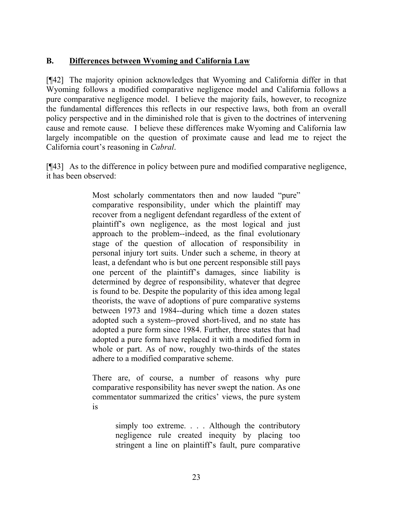## **B. Differences between Wyoming and California Law**

[¶42] The majority opinion acknowledges that Wyoming and California differ in that Wyoming follows a modified comparative negligence model and California follows a pure comparative negligence model. I believe the majority fails, however, to recognize the fundamental differences this reflects in our respective laws, both from an overall policy perspective and in the diminished role that is given to the doctrines of intervening cause and remote cause. I believe these differences make Wyoming and California law largely incompatible on the question of proximate cause and lead me to reject the California court's reasoning in *Cabral*.

[¶43] As to the difference in policy between pure and modified comparative negligence, it has been observed:

> Most scholarly commentators then and now lauded "pure" comparative responsibility, under which the plaintiff may recover from a negligent defendant regardless of the extent of plaintiff's own negligence, as the most logical and just approach to the problem--indeed, as the final evolutionary stage of the question of allocation of responsibility in personal injury tort suits. Under such a scheme, in theory at least, a defendant who is but one percent responsible still pays one percent of the plaintiff's damages, since liability is determined by degree of responsibility, whatever that degree is found to be. Despite the popularity of this idea among legal theorists, the wave of adoptions of pure comparative systems between 1973 and 1984--during which time a dozen states adopted such a system--proved short-lived, and no state has adopted a pure form since 1984. Further, three states that had adopted a pure form have replaced it with a modified form in whole or part. As of now, roughly two-thirds of the states adhere to a modified comparative scheme.

> There are, of course, a number of reasons why pure comparative responsibility has never swept the nation. As one commentator summarized the critics' views, the pure system is

> > simply too extreme. . . . Although the contributory negligence rule created inequity by placing too stringent a line on plaintiff's fault, pure comparative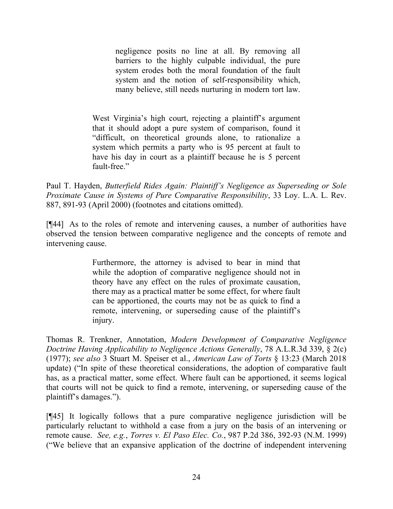negligence posits no line at all. By removing all barriers to the highly culpable individual, the pure system erodes both the moral foundation of the fault system and the notion of self-responsibility which, many believe, still needs nurturing in modern tort law.

West Virginia's high court, rejecting a plaintiff's argument that it should adopt a pure system of comparison, found it "difficult, on theoretical grounds alone, to rationalize a system which permits a party who is 95 percent at fault to have his day in court as a plaintiff because he is 5 percent fault-free."

Paul T. Hayden, *Butterfield Rides Again: Plaintiff's Negligence as Superseding or Sole Proximate Cause in Systems of Pure Comparative Responsibility*, 33 Loy. L.A. L. Rev. 887, 891-93 (April 2000) (footnotes and citations omitted).

[¶44] As to the roles of remote and intervening causes, a number of authorities have observed the tension between comparative negligence and the concepts of remote and intervening cause.

> Furthermore, the attorney is advised to bear in mind that while the adoption of comparative negligence should not in theory have any effect on the rules of proximate causation, there may as a practical matter be some effect, for where fault can be apportioned, the courts may not be as quick to find a remote, intervening, or superseding cause of the plaintiff's injury.

Thomas R. Trenkner, Annotation, *Modern Development of Comparative Negligence Doctrine Having Applicability to Negligence Actions Generally*, 78 A.L.R.3d 339, § 2(c) (1977); *see also* 3 Stuart M. Speiser et al., *American Law of Torts* § 13:23 (March 2018 update) ("In spite of these theoretical considerations, the adoption of comparative fault has, as a practical matter, some effect. Where fault can be apportioned, it seems logical that courts will not be quick to find a remote, intervening, or superseding cause of the plaintiff's damages.").

[¶45] It logically follows that a pure comparative negligence jurisdiction will be particularly reluctant to withhold a case from a jury on the basis of an intervening or remote cause. *See, e.g.*, *Torres v. El Paso Elec. Co.*, 987 P.2d 386, 392-93 (N.M. 1999) ("We believe that an expansive application of the doctrine of independent intervening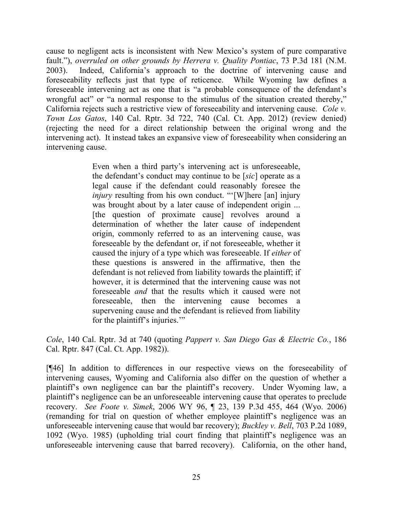cause to negligent acts is inconsistent with New Mexico's system of pure comparative fault."), *overruled on other grounds by Herrera v. Quality Pontiac*, 73 P.3d 181 (N.M. 2003). Indeed, California's approach to the doctrine of intervening cause and foreseeability reflects just that type of reticence. While Wyoming law defines a foreseeable intervening act as one that is "a probable consequence of the defendant's wrongful act" or "a normal response to the stimulus of the situation created thereby," California rejects such a restrictive view of foreseeability and intervening cause. *Cole v. Town Los Gatos*, 140 Cal. Rptr. 3d 722, 740 (Cal. Ct. App. 2012) (review denied) (rejecting the need for a direct relationship between the original wrong and the intervening act). It instead takes an expansive view of foreseeability when considering an intervening cause.

> Even when a third party's intervening act is unforeseeable, the defendant's conduct may continue to be [*sic*] operate as a legal cause if the defendant could reasonably foresee the *injury* resulting from his own conduct. "'[W]here [an] injury was brought about by a later cause of independent origin ... [the question of proximate cause] revolves around a determination of whether the later cause of independent origin, commonly referred to as an intervening cause, was foreseeable by the defendant or, if not foreseeable, whether it caused the injury of a type which was foreseeable. If *either* of these questions is answered in the affirmative, then the defendant is not relieved from liability towards the plaintiff; if however, it is determined that the intervening cause was not foreseeable *and* that the results which it caused were not foreseeable, then the intervening cause becomes a supervening cause and the defendant is relieved from liability for the plaintiff's injuries.'"

*Cole*, 140 Cal. Rptr. 3d at 740 (quoting *Pappert v. San Diego Gas & Electric Co.*, 186 Cal. Rptr. 847 (Cal. Ct. App. 1982)).

[¶46] In addition to differences in our respective views on the foreseeability of intervening causes, Wyoming and California also differ on the question of whether a plaintiff's own negligence can bar the plaintiff's recovery. Under Wyoming law, a plaintiff's negligence can be an unforeseeable intervening cause that operates to preclude recovery. *See Foote v. Simek*, 2006 WY 96, ¶ 23, 139 P.3d 455, 464 (Wyo. 2006) (remanding for trial on question of whether employee plaintiff's negligence was an unforeseeable intervening cause that would bar recovery); *Buckley v. Bell*, 703 P.2d 1089, 1092 (Wyo. 1985) (upholding trial court finding that plaintiff's negligence was an unforeseeable intervening cause that barred recovery). California, on the other hand,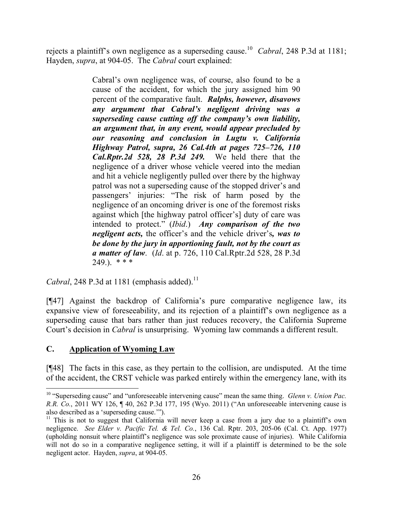rejects a plaintiff's own negligence as a superseding cause.<sup>10</sup> *Cabral*, 248 P.3d at 1181; Hayden, *supra*, at 904-05. The *Cabral* court explained:

> Cabral's own negligence was, of course, also found to be a cause of the accident, for which the jury assigned him 90 percent of the comparative fault. *Ralphs, however, disavows any argument that Cabral's negligent driving was a superseding cause cutting off the company's own liability, an argument that, in any event, would appear precluded by our reasoning and conclusion in Lugtu v. California Highway Patrol, supra, 26 Cal.4th at pages 725–726, 110 Cal.Rptr.2d 528, 28 P.3d 249.* We held there that the negligence of a driver whose vehicle veered into the median and hit a vehicle negligently pulled over there by the highway patrol was not a superseding cause of the stopped driver's and passengers' injuries: "The risk of harm posed by the negligence of an oncoming driver is one of the foremost risks against which [the highway patrol officer's] duty of care was intended to protect." (*Ibid*.) *Any comparison of the two negligent acts,* the officer's and the vehicle driver's*, was to be done by the jury in apportioning fault, not by the court as a matter of law*. (*Id*. at p. 726, 110 Cal.Rptr.2d 528, 28 P.3d  $249.$ ). \* \* \*

*Cabral*, 248 P.3d at 1181 (emphasis added).<sup>11</sup>

[¶47] Against the backdrop of California's pure comparative negligence law, its expansive view of foreseeability, and its rejection of a plaintiff's own negligence as a superseding cause that bars rather than just reduces recovery, the California Supreme Court's decision in *Cabral* is unsurprising. Wyoming law commands a different result.

# **C. Application of Wyoming Law**

l

[¶48] The facts in this case, as they pertain to the collision, are undisputed. At the time of the accident, the CRST vehicle was parked entirely within the emergency lane, with its

<sup>10</sup> "Superseding cause" and "unforeseeable intervening cause" mean the same thing. *Glenn v. Union Pac. R.R. Co.*, 2011 WY 126, ¶ 40, 262 P.3d 177, 195 (Wyo. 2011) ("An unforeseeable intervening cause is also described as a 'superseding cause.'").

 $11$  This is not to suggest that California will never keep a case from a jury due to a plaintiff's own negligence. *See Elder v. Pacific Tel. & Tel. Co.*, 136 Cal. Rptr. 203, 205-06 (Cal. Ct. App. 1977) (upholding nonsuit where plaintiff's negligence was sole proximate cause of injuries). While California will not do so in a comparative negligence setting, it will if a plaintiff is determined to be the sole negligent actor. Hayden, *supra*, at 904-05.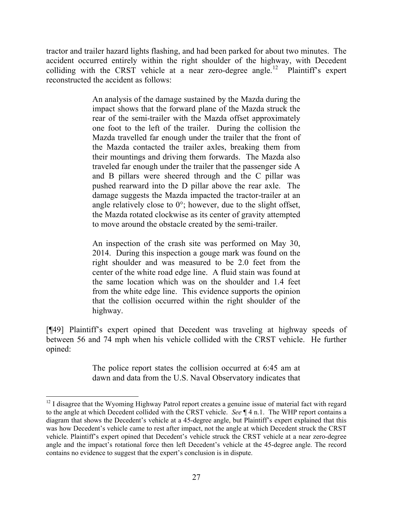tractor and trailer hazard lights flashing, and had been parked for about two minutes. The accident occurred entirely within the right shoulder of the highway, with Decedent colliding with the CRST vehicle at a near zero-degree angle.<sup>12</sup> Plaintiff's expert reconstructed the accident as follows:

> An analysis of the damage sustained by the Mazda during the impact shows that the forward plane of the Mazda struck the rear of the semi-trailer with the Mazda offset approximately one foot to the left of the trailer. During the collision the Mazda travelled far enough under the trailer that the front of the Mazda contacted the trailer axles, breaking them from their mountings and driving them forwards. The Mazda also traveled far enough under the trailer that the passenger side A and B pillars were sheered through and the C pillar was pushed rearward into the D pillar above the rear axle. The damage suggests the Mazda impacted the tractor-trailer at an angle relatively close to  $0^\circ$ ; however, due to the slight offset, the Mazda rotated clockwise as its center of gravity attempted to move around the obstacle created by the semi-trailer.

> An inspection of the crash site was performed on May 30, 2014. During this inspection a gouge mark was found on the right shoulder and was measured to be 2.0 feet from the center of the white road edge line. A fluid stain was found at the same location which was on the shoulder and 1.4 feet from the white edge line. This evidence supports the opinion that the collision occurred within the right shoulder of the highway.

[¶49] Plaintiff's expert opined that Decedent was traveling at highway speeds of between 56 and 74 mph when his vehicle collided with the CRST vehicle. He further opined:

> The police report states the collision occurred at 6:45 am at dawn and data from the U.S. Naval Observatory indicates that

l

 $12$  I disagree that the Wyoming Highway Patrol report creates a genuine issue of material fact with regard to the angle at which Decedent collided with the CRST vehicle. *See* ¶ 4 n.1. The WHP report contains a diagram that shows the Decedent's vehicle at a 45-degree angle, but Plaintiff's expert explained that this was how Decedent's vehicle came to rest after impact, not the angle at which Decedent struck the CRST vehicle. Plaintiff's expert opined that Decedent's vehicle struck the CRST vehicle at a near zero-degree angle and the impact's rotational force then left Decedent's vehicle at the 45-degree angle. The record contains no evidence to suggest that the expert's conclusion is in dispute.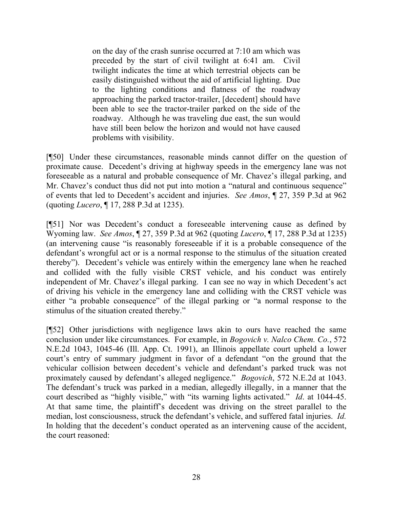on the day of the crash sunrise occurred at 7:10 am which was preceded by the start of civil twilight at 6:41 am. Civil twilight indicates the time at which terrestrial objects can be easily distinguished without the aid of artificial lighting. Due to the lighting conditions and flatness of the roadway approaching the parked tractor-trailer, [decedent] should have been able to see the tractor-trailer parked on the side of the roadway. Although he was traveling due east, the sun would have still been below the horizon and would not have caused problems with visibility.

[¶50] Under these circumstances, reasonable minds cannot differ on the question of proximate cause. Decedent's driving at highway speeds in the emergency lane was not foreseeable as a natural and probable consequence of Mr. Chavez's illegal parking, and Mr. Chavez's conduct thus did not put into motion a "natural and continuous sequence" of events that led to Decedent's accident and injuries. *See Amos*, ¶ 27, 359 P.3d at 962 (quoting *Lucero*, ¶ 17, 288 P.3d at 1235).

[¶51] Nor was Decedent's conduct a foreseeable intervening cause as defined by Wyoming law. *See Amos*, ¶ 27, 359 P.3d at 962 (quoting *Lucero*, ¶ 17, 288 P.3d at 1235) (an intervening cause "is reasonably foreseeable if it is a probable consequence of the defendant's wrongful act or is a normal response to the stimulus of the situation created thereby"). Decedent's vehicle was entirely within the emergency lane when he reached and collided with the fully visible CRST vehicle, and his conduct was entirely independent of Mr. Chavez's illegal parking. I can see no way in which Decedent's act of driving his vehicle in the emergency lane and colliding with the CRST vehicle was either "a probable consequence" of the illegal parking or "a normal response to the stimulus of the situation created thereby."

[¶52] Other jurisdictions with negligence laws akin to ours have reached the same conclusion under like circumstances. For example, in *Bogovich v. Nalco Chem. Co.*, 572 N.E.2d 1043, 1045-46 (Ill. App. Ct. 1991), an Illinois appellate court upheld a lower court's entry of summary judgment in favor of a defendant "on the ground that the vehicular collision between decedent's vehicle and defendant's parked truck was not proximately caused by defendant's alleged negligence." *Bogovich*, 572 N.E.2d at 1043. The defendant's truck was parked in a median, allegedly illegally, in a manner that the court described as "highly visible," with "its warning lights activated." *Id*. at 1044-45. At that same time, the plaintiff's decedent was driving on the street parallel to the median, lost consciousness, struck the defendant's vehicle, and suffered fatal injuries. *Id.* In holding that the decedent's conduct operated as an intervening cause of the accident, the court reasoned: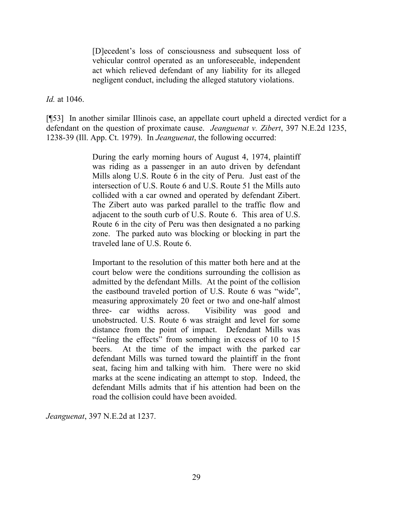[D]ecedent's loss of consciousness and subsequent loss of vehicular control operated as an unforeseeable, independent act which relieved defendant of any liability for its alleged negligent conduct, including the alleged statutory violations.

*Id.* at 1046.

[¶53] In another similar Illinois case, an appellate court upheld a directed verdict for a defendant on the question of proximate cause. *Jeanguenat v. Zibert*, 397 N.E.2d 1235, 1238-39 (Ill. App. Ct. 1979). In *Jeanguenat*, the following occurred:

> During the early morning hours of August 4, 1974, plaintiff was riding as a passenger in an auto driven by defendant Mills along U.S. Route 6 in the city of Peru. Just east of the intersection of U.S. Route 6 and U.S. Route 51 the Mills auto collided with a car owned and operated by defendant Zibert. The Zibert auto was parked parallel to the traffic flow and adjacent to the south curb of U.S. Route 6. This area of U.S. Route 6 in the city of Peru was then designated a no parking zone. The parked auto was blocking or blocking in part the traveled lane of U.S. Route 6.

> Important to the resolution of this matter both here and at the court below were the conditions surrounding the collision as admitted by the defendant Mills. At the point of the collision the eastbound traveled portion of U.S. Route 6 was "wide", measuring approximately 20 feet or two and one-half almost three- car widths across. Visibility was good and unobstructed. U.S. Route 6 was straight and level for some distance from the point of impact. Defendant Mills was "feeling the effects" from something in excess of 10 to 15 beers. At the time of the impact with the parked car defendant Mills was turned toward the plaintiff in the front seat, facing him and talking with him. There were no skid marks at the scene indicating an attempt to stop. Indeed, the defendant Mills admits that if his attention had been on the road the collision could have been avoided.

*Jeanguenat*, 397 N.E.2d at 1237.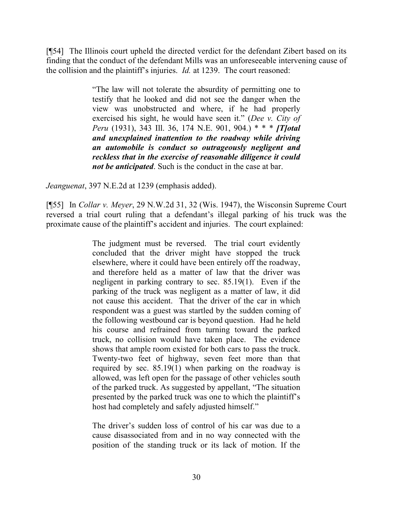[¶54] The Illinois court upheld the directed verdict for the defendant Zibert based on its finding that the conduct of the defendant Mills was an unforeseeable intervening cause of the collision and the plaintiff's injuries. *Id.* at 1239. The court reasoned:

> "The law will not tolerate the absurdity of permitting one to testify that he looked and did not see the danger when the view was unobstructed and where, if he had properly exercised his sight, he would have seen it." (*Dee v. City of Peru* (1931), 343 Ill. 36, 174 N.E. 901, 904.) \* \* \* *[T]otal and unexplained inattention to the roadway while driving an automobile is conduct so outrageously negligent and reckless that in the exercise of reasonable diligence it could not be anticipated*. Such is the conduct in the case at bar.

*Jeanguenat*, 397 N.E.2d at 1239 (emphasis added).

[¶55] In *Collar v. Meyer*, 29 N.W.2d 31, 32 (Wis. 1947), the Wisconsin Supreme Court reversed a trial court ruling that a defendant's illegal parking of his truck was the proximate cause of the plaintiff's accident and injuries. The court explained:

> The judgment must be reversed. The trial court evidently concluded that the driver might have stopped the truck elsewhere, where it could have been entirely off the roadway, and therefore held as a matter of law that the driver was negligent in parking contrary to sec. 85.19(1). Even if the parking of the truck was negligent as a matter of law, it did not cause this accident. That the driver of the car in which respondent was a guest was startled by the sudden coming of the following westbound car is beyond question. Had he held his course and refrained from turning toward the parked truck, no collision would have taken place. The evidence shows that ample room existed for both cars to pass the truck. Twenty-two feet of highway, seven feet more than that required by sec. 85.19(1) when parking on the roadway is allowed, was left open for the passage of other vehicles south of the parked truck. As suggested by appellant, "The situation presented by the parked truck was one to which the plaintiff's host had completely and safely adjusted himself."

> The driver's sudden loss of control of his car was due to a cause disassociated from and in no way connected with the position of the standing truck or its lack of motion. If the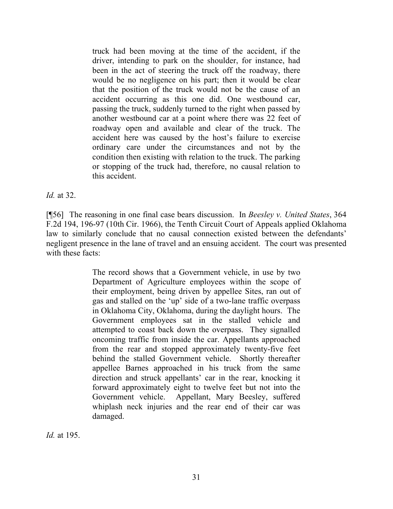truck had been moving at the time of the accident, if the driver, intending to park on the shoulder, for instance, had been in the act of steering the truck off the roadway, there would be no negligence on his part; then it would be clear that the position of the truck would not be the cause of an accident occurring as this one did. One westbound car, passing the truck, suddenly turned to the right when passed by another westbound car at a point where there was 22 feet of roadway open and available and clear of the truck. The accident here was caused by the host's failure to exercise ordinary care under the circumstances and not by the condition then existing with relation to the truck. The parking or stopping of the truck had, therefore, no causal relation to this accident.

*Id.* at 32.

[¶56] The reasoning in one final case bears discussion. In *Beesley v. United States*, 364 F.2d 194, 196-97 (10th Cir. 1966), the Tenth Circuit Court of Appeals applied Oklahoma law to similarly conclude that no causal connection existed between the defendants' negligent presence in the lane of travel and an ensuing accident. The court was presented with these facts:

> The record shows that a Government vehicle, in use by two Department of Agriculture employees within the scope of their employment, being driven by appellee Sites, ran out of gas and stalled on the 'up' side of a two-lane traffic overpass in Oklahoma City, Oklahoma, during the daylight hours. The Government employees sat in the stalled vehicle and attempted to coast back down the overpass. They signalled oncoming traffic from inside the car. Appellants approached from the rear and stopped approximately twenty-five feet behind the stalled Government vehicle. Shortly thereafter appellee Barnes approached in his truck from the same direction and struck appellants' car in the rear, knocking it forward approximately eight to twelve feet but not into the Government vehicle. Appellant, Mary Beesley, suffered whiplash neck injuries and the rear end of their car was damaged.

*Id.* at 195.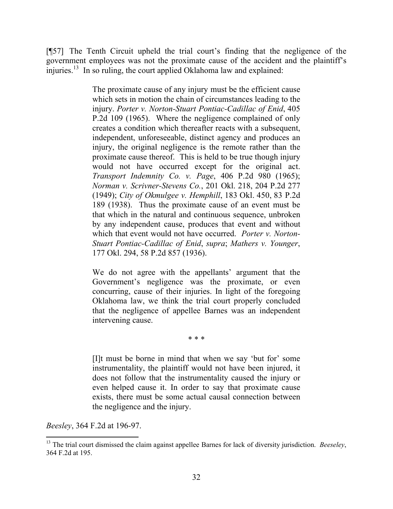[¶57] The Tenth Circuit upheld the trial court's finding that the negligence of the government employees was not the proximate cause of the accident and the plaintiff's injuries.<sup>13</sup> In so ruling, the court applied Oklahoma law and explained:

> The proximate cause of any injury must be the efficient cause which sets in motion the chain of circumstances leading to the injury. *Porter v. Norton-Stuart Pontiac-Cadillac of Enid*, 405 P.2d 109 (1965). Where the negligence complained of only creates a condition which thereafter reacts with a subsequent, independent, unforeseeable, distinct agency and produces an injury, the original negligence is the remote rather than the proximate cause thereof. This is held to be true though injury would not have occurred except for the original act. *Transport Indemnity Co. v. Page*, 406 P.2d 980 (1965); *Norman v. Scrivner-Stevens Co.*, 201 Okl. 218, 204 P.2d 277 (1949); *City of Okmulgee v. Hemphill*, 183 Okl. 450, 83 P.2d 189 (1938). Thus the proximate cause of an event must be that which in the natural and continuous sequence, unbroken by any independent cause, produces that event and without which that event would not have occurred. *Porter v. Norton-Stuart Pontiac-Cadillac of Enid*, *supra*; *Mathers v. Younger*, 177 Okl. 294, 58 P.2d 857 (1936).

> We do not agree with the appellants' argument that the Government's negligence was the proximate, or even concurring, cause of their injuries. In light of the foregoing Oklahoma law, we think the trial court properly concluded that the negligence of appellee Barnes was an independent intervening cause.

> > \* \* \*

[I]t must be borne in mind that when we say 'but for' some instrumentality, the plaintiff would not have been injured, it does not follow that the instrumentality caused the injury or even helped cause it. In order to say that proximate cause exists, there must be some actual causal connection between the negligence and the injury.

*Beesley*, 364 F.2d at 196-97.

 $\overline{\phantom{a}}$ <sup>13</sup> The trial court dismissed the claim against appellee Barnes for lack of diversity jurisdiction. *Beeseley*, 364 F.2d at 195.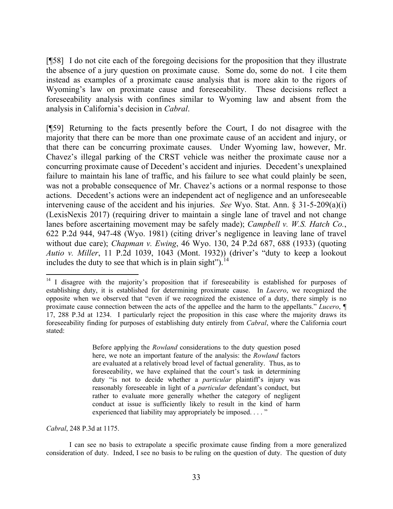[¶58] I do not cite each of the foregoing decisions for the proposition that they illustrate the absence of a jury question on proximate cause. Some do, some do not. I cite them instead as examples of a proximate cause analysis that is more akin to the rigors of Wyoming's law on proximate cause and foreseeability. These decisions reflect a foreseeability analysis with confines similar to Wyoming law and absent from the analysis in California's decision in *Cabral*.

[¶59] Returning to the facts presently before the Court, I do not disagree with the majority that there can be more than one proximate cause of an accident and injury, or that there can be concurring proximate causes. Under Wyoming law, however, Mr. Chavez's illegal parking of the CRST vehicle was neither the proximate cause nor a concurring proximate cause of Decedent's accident and injuries. Decedent's unexplained failure to maintain his lane of traffic, and his failure to see what could plainly be seen, was not a probable consequence of Mr. Chavez's actions or a normal response to those actions. Decedent's actions were an independent act of negligence and an unforeseeable intervening cause of the accident and his injuries. *See* Wyo. Stat. Ann. § 31-5-209(a)(i) (LexisNexis 2017) (requiring driver to maintain a single lane of travel and not change lanes before ascertaining movement may be safely made); *Campbell v. W.S. Hatch Co.*, 622 P.2d 944, 947-48 (Wyo. 1981) (citing driver's negligence in leaving lane of travel without due care); *Chapman v. Ewing*, 46 Wyo. 130, 24 P.2d 687, 688 (1933) (quoting *Autio v. Miller*, 11 P.2d 1039, 1043 (Mont. 1932)) (driver's "duty to keep a lookout includes the duty to see that which is in plain sight").  $14$ 

Before applying the *Rowland* considerations to the duty question posed here, we note an important feature of the analysis: the *Rowland* factors are evaluated at a relatively broad level of factual generality. Thus, as to foreseeability, we have explained that the court's task in determining duty "is not to decide whether a *particular* plaintiff's injury was reasonably foreseeable in light of a *particular* defendant's conduct, but rather to evaluate more generally whether the category of negligent conduct at issue is sufficiently likely to result in the kind of harm experienced that liability may appropriately be imposed. . . . "

*Cabral*, 248 P.3d at 1175.

l

I can see no basis to extrapolate a specific proximate cause finding from a more generalized consideration of duty. Indeed, I see no basis to be ruling on the question of duty. The question of duty

 $14$  I disagree with the majority's proposition that if foreseeability is established for purposes of establishing duty, it is established for determining proximate cause. In *Lucero*, we recognized the opposite when we observed that "even if we recognized the existence of a duty, there simply is no proximate cause connection between the acts of the appellee and the harm to the appellants." *Lucero*, ¶ 17, 288 P.3d at 1234. I particularly reject the proposition in this case where the majority draws its foreseeability finding for purposes of establishing duty entirely from *Cabral*, where the California court stated: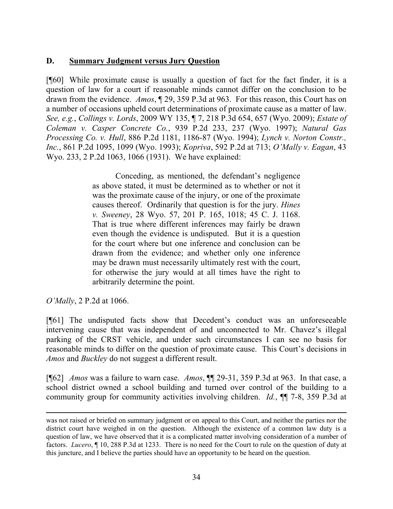### **D. Summary Judgment versus Jury Question**

[¶60] While proximate cause is usually a question of fact for the fact finder, it is a question of law for a court if reasonable minds cannot differ on the conclusion to be drawn from the evidence. *Amos*, ¶ 29, 359 P.3d at 963. For this reason, this Court has on a number of occasions upheld court determinations of proximate cause as a matter of law. *See, e.g.*, *Collings v. Lords*, 2009 WY 135, ¶ 7, 218 P.3d 654, 657 (Wyo. 2009); *Estate of Coleman v. Casper Concrete Co.*, 939 P.2d 233, 237 (Wyo. 1997); *Natural Gas Processing Co. v. Hull*, 886 P.2d 1181, 1186-87 (Wyo. 1994); *Lynch v. Norton Constr., Inc.*, 861 P.2d 1095, 1099 (Wyo. 1993); *Kopriva*, 592 P.2d at 713; *O'Mally v. Eagan*, 43 Wyo. 233, 2 P.2d 1063, 1066 (1931). We have explained:

> Conceding, as mentioned, the defendant's negligence as above stated, it must be determined as to whether or not it was the proximate cause of the injury, or one of the proximate causes thereof. Ordinarily that question is for the jury. *Hines v. Sweeney*, 28 Wyo. 57, 201 P. 165, 1018; 45 C. J. 1168. That is true where different inferences may fairly be drawn even though the evidence is undisputed. But it is a question for the court where but one inference and conclusion can be drawn from the evidence; and whether only one inference may be drawn must necessarily ultimately rest with the court, for otherwise the jury would at all times have the right to arbitrarily determine the point.

*O'Mally*, 2 P.2d at 1066.

 $\overline{\phantom{a}}$ 

[¶61] The undisputed facts show that Decedent's conduct was an unforeseeable intervening cause that was independent of and unconnected to Mr. Chavez's illegal parking of the CRST vehicle, and under such circumstances I can see no basis for reasonable minds to differ on the question of proximate cause. This Court's decisions in *Amos* and *Buckley* do not suggest a different result.

[¶62] *Amos* was a failure to warn case. *Amos*, ¶¶ 29-31, 359 P.3d at 963. In that case, a school district owned a school building and turned over control of the building to a community group for community activities involving children. *Id.*, ¶¶ 7-8, 359 P.3d at

was not raised or briefed on summary judgment or on appeal to this Court, and neither the parties nor the district court have weighed in on the question. Although the existence of a common law duty is a question of law, we have observed that it is a complicated matter involving consideration of a number of factors. *Lucero*, ¶ 10, 288 P.3d at 1233. There is no need for the Court to rule on the question of duty at this juncture, and I believe the parties should have an opportunity to be heard on the question.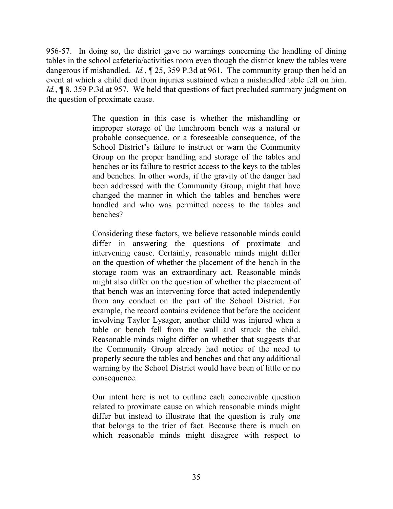956-57. In doing so, the district gave no warnings concerning the handling of dining tables in the school cafeteria/activities room even though the district knew the tables were dangerous if mishandled. *Id.*, ¶ 25, 359 P.3d at 961. The community group then held an event at which a child died from injuries sustained when a mishandled table fell on him. *Id.*, **[8, 359 P.3d at 957.** We held that questions of fact precluded summary judgment on the question of proximate cause.

> The question in this case is whether the mishandling or improper storage of the lunchroom bench was a natural or probable consequence, or a foreseeable consequence, of the School District's failure to instruct or warn the Community Group on the proper handling and storage of the tables and benches or its failure to restrict access to the keys to the tables and benches. In other words, if the gravity of the danger had been addressed with the Community Group, might that have changed the manner in which the tables and benches were handled and who was permitted access to the tables and benches?

> Considering these factors, we believe reasonable minds could differ in answering the questions of proximate and intervening cause. Certainly, reasonable minds might differ on the question of whether the placement of the bench in the storage room was an extraordinary act. Reasonable minds might also differ on the question of whether the placement of that bench was an intervening force that acted independently from any conduct on the part of the School District. For example, the record contains evidence that before the accident involving Taylor Lysager, another child was injured when a table or bench fell from the wall and struck the child. Reasonable minds might differ on whether that suggests that the Community Group already had notice of the need to properly secure the tables and benches and that any additional warning by the School District would have been of little or no consequence.

> Our intent here is not to outline each conceivable question related to proximate cause on which reasonable minds might differ but instead to illustrate that the question is truly one that belongs to the trier of fact. Because there is much on which reasonable minds might disagree with respect to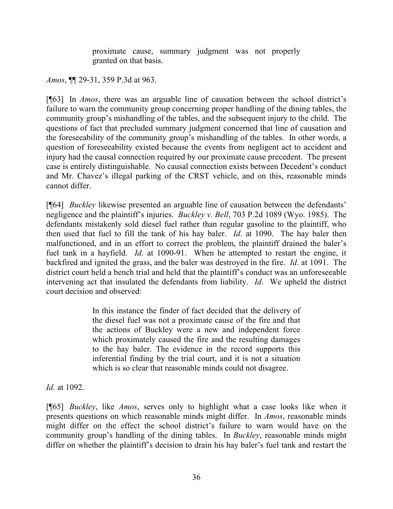proximate cause, summary judgment was not properly granted on that basis.

*Amos*, ¶¶ 29-31, 359 P.3d at 963.

[¶63] In *Amos*, there was an arguable line of causation between the school district's failure to warn the community group concerning proper handling of the dining tables, the community group's mishandling of the tables, and the subsequent injury to the child. The questions of fact that precluded summary judgment concerned that line of causation and the foreseeability of the community group's mishandling of the tables. In other words, a question of foreseeability existed because the events from negligent act to accident and injury had the causal connection required by our proximate cause precedent. The present case is entirely distinguishable. No causal connection exists between Decedent's conduct and Mr. Chavez's illegal parking of the CRST vehicle, and on this, reasonable minds cannot differ.

[¶64] *Buckley* likewise presented an arguable line of causation between the defendants' negligence and the plaintiff's injuries. *Buckley v. Bell*, 703 P.2d 1089 (Wyo. 1985). The defendants mistakenly sold diesel fuel rather than regular gasoline to the plaintiff, who then used that fuel to fill the tank of his hay baler. *Id*. at 1090. The hay baler then malfunctioned, and in an effort to correct the problem, the plaintiff drained the baler's fuel tank in a hayfield. *Id*. at 1090-91. When he attempted to restart the engine, it backfired and ignited the grass, and the baler was destroyed in the fire. *Id*. at 1091. The district court held a bench trial and held that the plaintiff's conduct was an unforeseeable intervening act that insulated the defendants from liability. *Id*. We upheld the district court decision and observed:

> In this instance the finder of fact decided that the delivery of the diesel fuel was not a proximate cause of the fire and that the actions of Buckley were a new and independent force which proximately caused the fire and the resulting damages to the hay baler. The evidence in the record supports this inferential finding by the trial court, and it is not a situation which is so clear that reasonable minds could not disagree.

*Id.* at 1092.

[¶65] *Buckley*, like *Amos*, serves only to highlight what a case looks like when it presents questions on which reasonable minds might differ. In *Amos*, reasonable minds might differ on the effect the school district's failure to warn would have on the community group's handling of the dining tables. In *Buckley*, reasonable minds might differ on whether the plaintiff's decision to drain his hay baler's fuel tank and restart the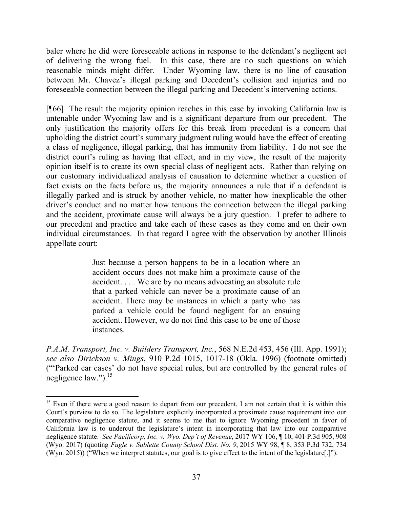baler where he did were foreseeable actions in response to the defendant's negligent act of delivering the wrong fuel. In this case, there are no such questions on which reasonable minds might differ. Under Wyoming law, there is no line of causation between Mr. Chavez's illegal parking and Decedent's collision and injuries and no foreseeable connection between the illegal parking and Decedent's intervening actions.

[¶66] The result the majority opinion reaches in this case by invoking California law is untenable under Wyoming law and is a significant departure from our precedent. The only justification the majority offers for this break from precedent is a concern that upholding the district court's summary judgment ruling would have the effect of creating a class of negligence, illegal parking, that has immunity from liability. I do not see the district court's ruling as having that effect, and in my view, the result of the majority opinion itself is to create its own special class of negligent acts. Rather than relying on our customary individualized analysis of causation to determine whether a question of fact exists on the facts before us, the majority announces a rule that if a defendant is illegally parked and is struck by another vehicle, no matter how inexplicable the other driver's conduct and no matter how tenuous the connection between the illegal parking and the accident, proximate cause will always be a jury question. I prefer to adhere to our precedent and practice and take each of these cases as they come and on their own individual circumstances. In that regard I agree with the observation by another Illinois appellate court:

> Just because a person happens to be in a location where an accident occurs does not make him a proximate cause of the accident. . . . We are by no means advocating an absolute rule that a parked vehicle can never be a proximate cause of an accident. There may be instances in which a party who has parked a vehicle could be found negligent for an ensuing accident. However, we do not find this case to be one of those instances.

*P.A.M. Transport, Inc. v. Builders Transport, Inc.*, 568 N.E.2d 453, 456 (Ill. App. 1991); *see also Dirickson v. Mings*, 910 P.2d 1015, 1017-18 (Okla. 1996) (footnote omitted) ("'Parked car cases' do not have special rules, but are controlled by the general rules of negligence law."). $^{15}$ 

l

<sup>&</sup>lt;sup>15</sup> Even if there were a good reason to depart from our precedent, I am not certain that it is within this Court's purview to do so. The legislature explicitly incorporated a proximate cause requirement into our comparative negligence statute, and it seems to me that to ignore Wyoming precedent in favor of California law is to undercut the legislature's intent in incorporating that law into our comparative negligence statute. *See Pacificorp, Inc. v. Wyo. Dep't of Revenue*, 2017 WY 106, ¶ 10, 401 P.3d 905, 908 (Wyo. 2017) (quoting *Fugle v. Sublette County School Dist. No. 9*, 2015 WY 98, ¶ 8, 353 P.3d 732, 734 (Wyo. 2015)) ("When we interpret statutes, our goal is to give effect to the intent of the legislature[.]").